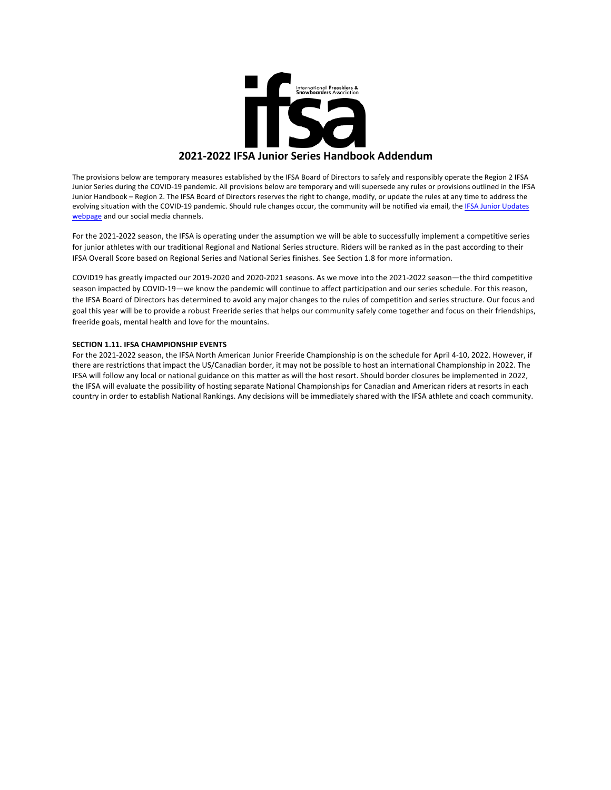

The provisions below are temporary measures established by the IFSA Board of Directors to safely and responsibly operate the Region 2 IFSA Junior Series during the COVID-19 pandemic. All provisions below are temporary and will supersede any rules or provisions outlined in the IFSA Junior Handbook - Region 2. The IFSA Board of Directors reserves the right to change, modify, or update the rules at any time to address the evolving situation with the COVID-19 pandemic. Should rule changes occur, the community will be notified via email, the IFSA Junior Updates webpage and our social media channels.

For the 2021-2022 season, the IFSA is operating under the assumption we will be able to successfully implement a competitive series for junior athletes with our traditional Regional and National Series structure. Riders will be ranked as in the past according to their IFSA Overall Score based on Regional Series and National Series finishes. See Section 1.8 for more information.

COVID19 has greatly impacted our 2019-2020 and 2020-2021 seasons. As we move into the 2021-2022 season—the third competitive season impacted by COVID-19—we know the pandemic will continue to affect participation and our series schedule. For this reason, the IFSA Board of Directors has determined to avoid any major changes to the rules of competition and series structure. Our focus and goal this year will be to provide a robust Freeride series that helps our community safely come together and focus on their friendships, freeride goals, mental health and love for the mountains.

#### **SECTION 1.11. IFSA CHAMPIONSHIP EVENTS**

For the 2021-2022 season, the IFSA North American Junior Freeride Championship is on the schedule for April 4-10, 2022. However, if there are restrictions that impact the US/Canadian border, it may not be possible to host an international Championship in 2022. The IFSA will follow any local or national guidance on this matter as will the host resort. Should border closures be implemented in 2022, the IFSA will evaluate the possibility of hosting separate National Championships for Canadian and American riders at resorts in each country in order to establish National Rankings. Any decisions will be immediately shared with the IFSA athlete and coach community.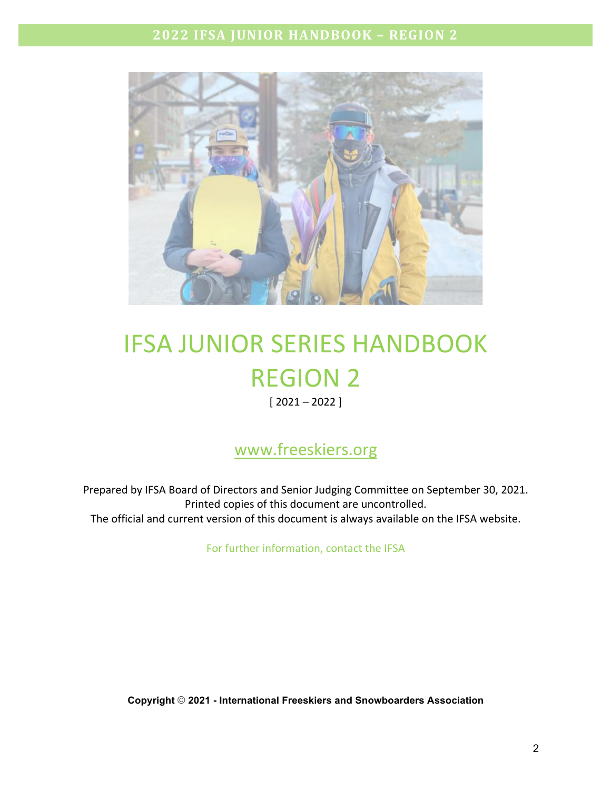

# IFSA JUNIOR SERIES HANDBOOK **REGION 2**

 $[2021 - 2022]$ 

## www.freeskiers.org

Prepared by IFSA Board of Directors and Senior Judging Committee on September 30, 2021. Printed copies of this document are uncontrolled. The official and current version of this document is always available on the IFSA website.

For further information, contact the IFSA

**Copyright** © **2021 - International Freeskiers and Snowboarders Association**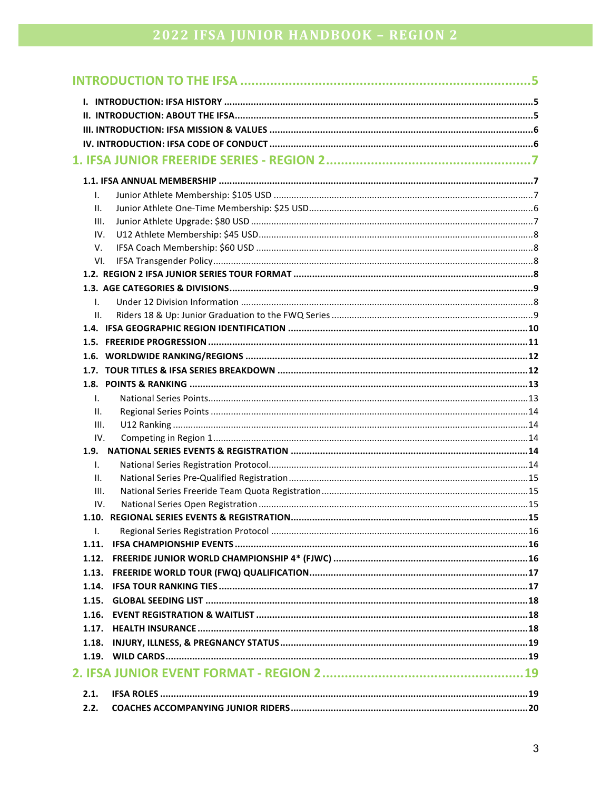| I.           |  |
|--------------|--|
| Ш.           |  |
| III.         |  |
| IV.          |  |
| V.           |  |
| VI.          |  |
|              |  |
| I.           |  |
| Ш.           |  |
| 1.4.         |  |
|              |  |
|              |  |
|              |  |
|              |  |
| I.           |  |
| Ш.           |  |
| III.         |  |
| IV.          |  |
| 1.9.         |  |
| Ι.           |  |
| Ш.           |  |
| III.         |  |
| IV.          |  |
|              |  |
| $\mathsf{L}$ |  |
| 1.11.        |  |
| 1.12.        |  |
| 1.13.        |  |
| 1.14.        |  |
| 1.15.        |  |
| 1.16.        |  |
| 1.17.        |  |
| 1.18.        |  |
|              |  |
|              |  |
| 2.1.         |  |
| 2.2.         |  |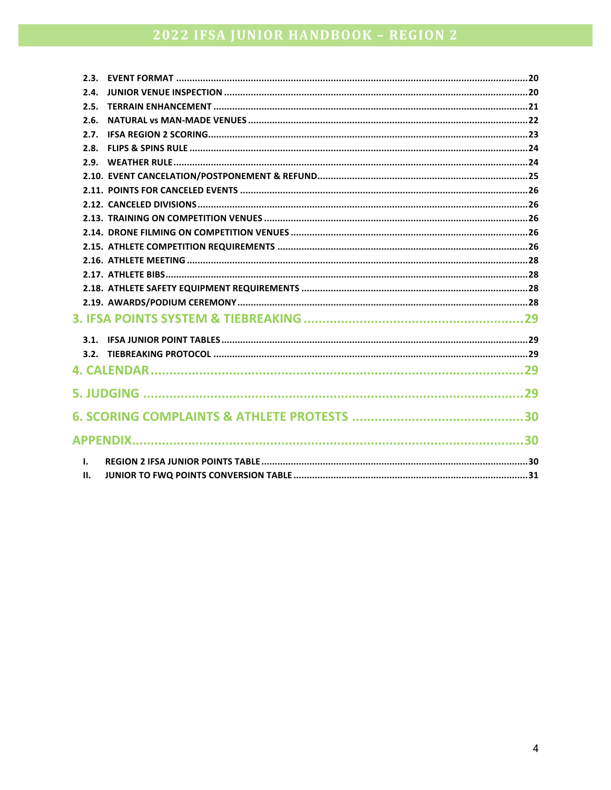| 2.4.         |  |
|--------------|--|
| 2.5.         |  |
| 2.6.         |  |
|              |  |
|              |  |
|              |  |
|              |  |
|              |  |
|              |  |
|              |  |
|              |  |
|              |  |
|              |  |
|              |  |
|              |  |
|              |  |
|              |  |
|              |  |
|              |  |
|              |  |
|              |  |
|              |  |
|              |  |
|              |  |
| $\mathbf{L}$ |  |
| Ш.           |  |
|              |  |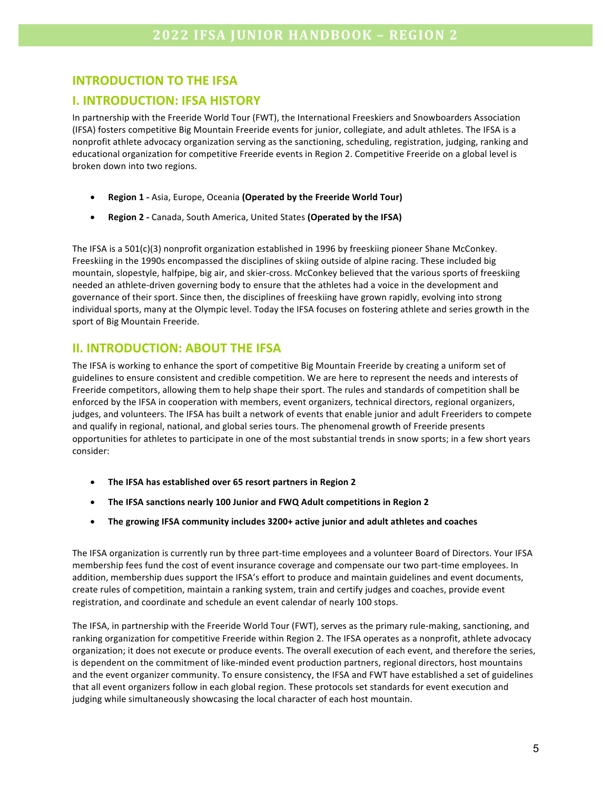## **INTRODUCTION TO THE IFSA**

## **I. INTRODUCTION: IFSA HISTORY**

In partnership with the Freeride World Tour (FWT), the International Freeskiers and Snowboarders Association (IFSA) fosters competitive Big Mountain Freeride events for junior, collegiate, and adult athletes. The IFSA is a nonprofit athlete advocacy organization serving as the sanctioning, scheduling, registration, judging, ranking and educational organization for competitive Freeride events in Region 2. Competitive Freeride on a global level is broken down into two regions.

- **Region 1** Asia, Europe, Oceania (Operated by the Freeride World Tour)
- **Region 2** Canada, South America, United States (Operated by the IFSA)

The IFSA is a  $501(c)(3)$  nonprofit organization established in 1996 by freeskiing pioneer Shane McConkey. Freeskiing in the 1990s encompassed the disciplines of skiing outside of alpine racing. These included big mountain, slopestyle, halfpipe, big air, and skier-cross. McConkey believed that the various sports of freeskiing needed an athlete-driven governing body to ensure that the athletes had a voice in the development and governance of their sport. Since then, the disciplines of freeskiing have grown rapidly, evolving into strong individual sports, many at the Olympic level. Today the IFSA focuses on fostering athlete and series growth in the sport of Big Mountain Freeride.

### **II. INTRODUCTION: ABOUT THE IFSA**

The IFSA is working to enhance the sport of competitive Big Mountain Freeride by creating a uniform set of guidelines to ensure consistent and credible competition. We are here to represent the needs and interests of Freeride competitors, allowing them to help shape their sport. The rules and standards of competition shall be enforced by the IFSA in cooperation with members, event organizers, technical directors, regional organizers, judges, and volunteers. The IFSA has built a network of events that enable junior and adult Freeriders to compete and qualify in regional, national, and global series tours. The phenomenal growth of Freeride presents opportunities for athletes to participate in one of the most substantial trends in snow sports; in a few short years consider:

- The IFSA has established over 65 resort partners in Region 2
- The IFSA sanctions nearly 100 Junior and FWQ Adult competitions in Region 2
- **The growing IFSA community includes 3200+ active junior and adult athletes and coaches**

The IFSA organization is currently run by three part-time employees and a volunteer Board of Directors. Your IFSA membership fees fund the cost of event insurance coverage and compensate our two part-time employees. In addition, membership dues support the IFSA's effort to produce and maintain guidelines and event documents, create rules of competition, maintain a ranking system, train and certify judges and coaches, provide event registration, and coordinate and schedule an event calendar of nearly 100 stops.

The IFSA, in partnership with the Freeride World Tour (FWT), serves as the primary rule-making, sanctioning, and ranking organization for competitive Freeride within Region 2. The IFSA operates as a nonprofit, athlete advocacy organization; it does not execute or produce events. The overall execution of each event, and therefore the series, is dependent on the commitment of like-minded event production partners, regional directors, host mountains and the event organizer community. To ensure consistency, the IFSA and FWT have established a set of guidelines that all event organizers follow in each global region. These protocols set standards for event execution and judging while simultaneously showcasing the local character of each host mountain.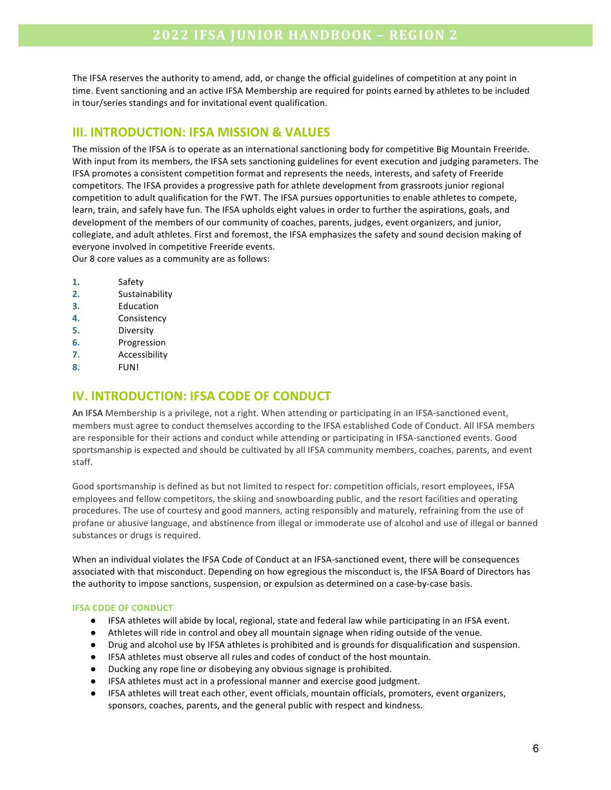The IFSA reserves the authority to amend, add, or change the official guidelines of competition at any point in time. Event sanctioning and an active IFSA Membership are required for points earned by athletes to be included in tour/series standings and for invitational event qualification.

### **III. INTRODUCTION: IFSA MISSION & VALUES**

The mission of the IFSA is to operate as an international sanctioning body for competitive Big Mountain Freeride. With input from its members, the IFSA sets sanctioning guidelines for event execution and judging parameters. The IFSA promotes a consistent competition format and represents the needs, interests, and safety of Freeride competitors. The IFSA provides a progressive path for athlete development from grassroots junior regional competition to adult qualification for the FWT. The IFSA pursues opportunities to enable athletes to compete, learn, train, and safely have fun. The IFSA upholds eight values in order to further the aspirations, goals, and development of the members of our community of coaches, parents, judges, event organizers, and junior, collegiate, and adult athletes. First and foremost, the IFSA emphasizes the safety and sound decision making of everyone involved in competitive Freeride events. Our 8 core values as a community are as follows:

- **1.** Safety
- **2.** Sustainability
- **3. Education**
- **4.** Consistency
- **5. Diversity**
- **6.** Progression
- **7.** Accessibility
- **8. FUN!**

## **IV. INTRODUCTION: IFSA CODE OF CONDUCT**

An IFSA Membership is a privilege, not a right. When attending or participating in an IFSA-sanctioned event, members must agree to conduct themselves according to the IFSA established Code of Conduct. All IFSA members are responsible for their actions and conduct while attending or participating in IFSA-sanctioned events. Good sportsmanship is expected and should be cultivated by all IFSA community members, coaches, parents, and event staff.

Good sportsmanship is defined as but not limited to respect for: competition officials, resort employees, IFSA employees and fellow competitors, the skiing and snowboarding public, and the resort facilities and operating procedures. The use of courtesy and good manners, acting responsibly and maturely, refraining from the use of profane or abusive language, and abstinence from illegal or immoderate use of alcohol and use of illegal or banned substances or drugs is required.

When an individual violates the IFSA Code of Conduct at an IFSA-sanctioned event, there will be consequences associated with that misconduct. Depending on how egregious the misconduct is, the IFSA Board of Directors has the authority to impose sanctions, suspension, or expulsion as determined on a case-by-case basis.

#### **IFSA CODE OF CONDUCT**

- IFSA athletes will abide by local, regional, state and federal law while participating in an IFSA event.
- Athletes will ride in control and obey all mountain signage when riding outside of the venue.
- Drug and alcohol use by IFSA athletes is prohibited and is grounds for disqualification and suspension.
- IFSA athletes must observe all rules and codes of conduct of the host mountain.
- Ducking any rope line or disobeying any obvious signage is prohibited.
- IFSA athletes must act in a professional manner and exercise good judgment.
- IFSA athletes will treat each other, event officials, mountain officials, promoters, event organizers, sponsors, coaches, parents, and the general public with respect and kindness.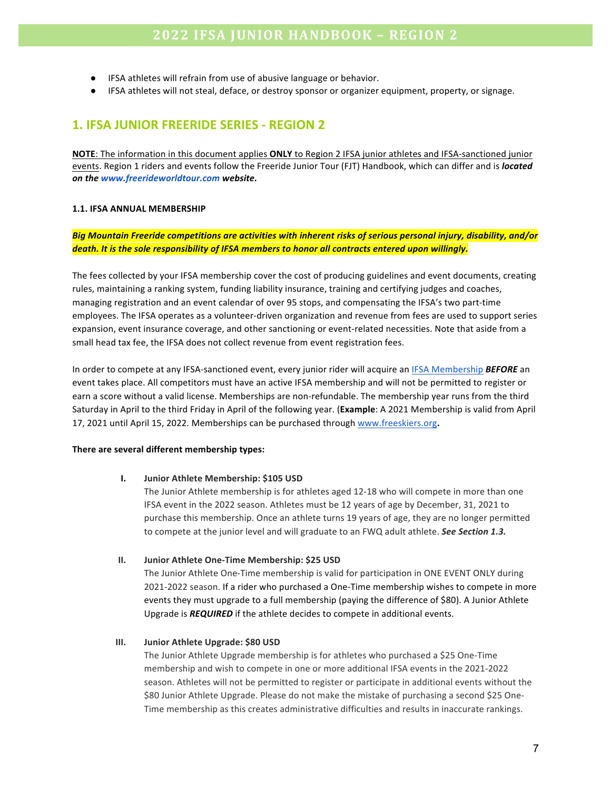- IFSA athletes will refrain from use of abusive language or behavior.
- IFSA athletes will not steal, deface, or destroy sponsor or organizer equipment, property, or signage.

## **1. IFSA JUNIOR FREERIDE SERIES - REGION 2**

**NOTE:** The information in this document applies **ONLY** to Region 2 IFSA junior athletes and IFSA-sanctioned junior events. Region 1 riders and events follow the Freeride Junior Tour (FJT) Handbook, which can differ and is *located on the www.freerideworldtour.com website.*

#### **1.1. IFSA ANNUAL MEMBERSHIP**

Big Mountain Freeride competitions are activities with inherent risks of serious personal injury, disability, and/or death. It is the sole responsibility of IFSA members to honor all contracts entered upon willingly.

The fees collected by your IFSA membership cover the cost of producing guidelines and event documents, creating rules, maintaining a ranking system, funding liability insurance, training and certifying judges and coaches, managing registration and an event calendar of over 95 stops, and compensating the IFSA's two part-time employees. The IFSA operates as a volunteer-driven organization and revenue from fees are used to support series expansion, event insurance coverage, and other sanctioning or event-related necessities. Note that aside from a small head tax fee, the IFSA does not collect revenue from event registration fees.

In order to compete at any IFSA-sanctioned event, every junior rider will acquire an **IFSA** Membership **BEFORE** an event takes place. All competitors must have an active IFSA membership and will not be permitted to register or earn a score without a valid license. Memberships are non-refundable. The membership year runs from the third Saturday in April to the third Friday in April of the following year. (Example: A 2021 Membership is valid from April 17, 2021 until April 15, 2022. Memberships can be purchased through www.freeskiers.org.

#### There are several different membership types:

#### **I.** Junior Athlete Membership: \$105 USD

The Junior Athlete membership is for athletes aged 12-18 who will compete in more than one IFSA event in the 2022 season. Athletes must be 12 years of age by December, 31, 2021 to purchase this membership. Once an athlete turns 19 years of age, they are no longer permitted to compete at the junior level and will graduate to an FWQ adult athlete. **See Section 1.3.** 

#### **II.** Junior Athlete One-Time Membership: \$25 USD

The Junior Athlete One-Time membership is valid for participation in ONE EVENT ONLY during 2021-2022 season. If a rider who purchased a One-Time membership wishes to compete in more events they must upgrade to a full membership (paying the difference of \$80). A Junior Athlete Upgrade is **REQUIRED** if the athlete decides to compete in additional events.

#### **III.** Junior Athlete Upgrade: \$80 USD

The Junior Athlete Upgrade membership is for athletes who purchased a \$25 One-Time membership and wish to compete in one or more additional IFSA events in the 2021-2022 season. Athletes will not be permitted to register or participate in additional events without the \$80 Junior Athlete Upgrade. Please do not make the mistake of purchasing a second \$25 One-Time membership as this creates administrative difficulties and results in inaccurate rankings.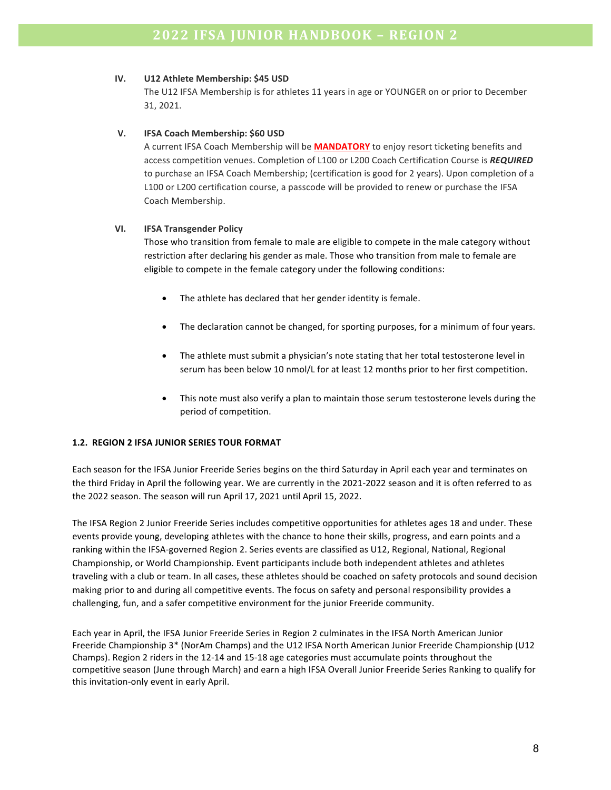#### **IV. U12 Athlete Membership: \$45 USD**

The U12 IFSA Membership is for athletes 11 years in age or YOUNGER on or prior to December 31, 2021.

#### **V. IFSA Coach Membership: \$60 USD**

A current IFSA Coach Membership will be **MANDATORY** to enjoy resort ticketing benefits and access competition venues. Completion of L100 or L200 Coach Certification Course is REQUIRED to purchase an IFSA Coach Membership; (certification is good for 2 years). Upon completion of a L100 or L200 certification course, a passcode will be provided to renew or purchase the IFSA Coach Membership.

#### **VI. IFSA Transgender Policy**

Those who transition from female to male are eligible to compete in the male category without restriction after declaring his gender as male. Those who transition from male to female are eligible to compete in the female category under the following conditions:

- The athlete has declared that her gender identity is female.
- The declaration cannot be changed, for sporting purposes, for a minimum of four years.
- The athlete must submit a physician's note stating that her total testosterone level in serum has been below 10 nmol/L for at least 12 months prior to her first competition.
- This note must also verify a plan to maintain those serum testosterone levels during the period of competition.

#### **1.2. REGION 2 IFSA JUNIOR SERIES TOUR FORMAT**

Each season for the IFSA Junior Freeride Series begins on the third Saturday in April each year and terminates on the third Friday in April the following year. We are currently in the 2021-2022 season and it is often referred to as the 2022 season. The season will run April 17, 2021 until April 15, 2022.

The IFSA Region 2 Junior Freeride Series includes competitive opportunities for athletes ages 18 and under. These events provide young, developing athletes with the chance to hone their skills, progress, and earn points and a ranking within the IFSA-governed Region 2. Series events are classified as U12, Regional, National, Regional Championship, or World Championship. Event participants include both independent athletes and athletes traveling with a club or team. In all cases, these athletes should be coached on safety protocols and sound decision making prior to and during all competitive events. The focus on safety and personal responsibility provides a challenging, fun, and a safer competitive environment for the junior Freeride community.

Each year in April, the IFSA Junior Freeride Series in Region 2 culminates in the IFSA North American Junior Freeride Championship 3\* (NorAm Champs) and the U12 IFSA North American Junior Freeride Championship (U12 Champs). Region 2 riders in the 12-14 and 15-18 age categories must accumulate points throughout the competitive season (June through March) and earn a high IFSA Overall Junior Freeride Series Ranking to qualify for this invitation-only event in early April.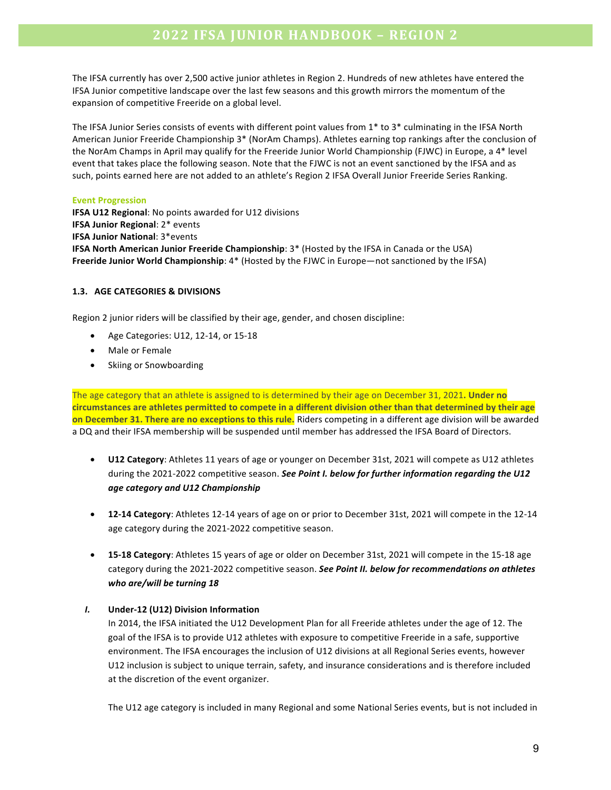The IFSA currently has over 2,500 active junior athletes in Region 2. Hundreds of new athletes have entered the IFSA Junior competitive landscape over the last few seasons and this growth mirrors the momentum of the expansion of competitive Freeride on a global level.

The IFSA Junior Series consists of events with different point values from  $1*$  to  $3*$  culminating in the IFSA North American Junior Freeride Championship 3\* (NorAm Champs). Athletes earning top rankings after the conclusion of the NorAm Champs in April may qualify for the Freeride Junior World Championship (FJWC) in Europe, a 4<sup>\*</sup> level event that takes place the following season. Note that the FJWC is not an event sanctioned by the IFSA and as such, points earned here are not added to an athlete's Region 2 IFSA Overall Junior Freeride Series Ranking.

#### **Event Progression**

**IFSA U12 Regional:** No points awarded for U12 divisions **IFSA Junior Regional: 2\* events IFSA Junior National: 3\*events IFSA North American Junior Freeride Championship:** 3\* (Hosted by the IFSA in Canada or the USA) **Freeride Junior World Championship:** 4\* (Hosted by the FJWC in Europe—not sanctioned by the IFSA)

#### **1.3. AGE CATEGORIES & DIVISIONS**

Region 2 junior riders will be classified by their age, gender, and chosen discipline:

- Age Categories: U12, 12-14, or 15-18
- Male or Female
- Skiing or Snowboarding

The age category that an athlete is assigned to is determined by their age on December 31, 2021. **Under no** circumstances are athletes permitted to compete in a different division other than that determined by their age **on December 31. There are no exceptions to this rule.** Riders competing in a different age division will be awarded a DQ and their IFSA membership will be suspended until member has addressed the IFSA Board of Directors.

- **U12 Category**: Athletes 11 years of age or younger on December 31st, 2021 will compete as U12 athletes during the 2021-2022 competitive season. See Point I. below for further information regarding the U12 *age category and U12 Championship*
- **12-14 Category**: Athletes 12-14 years of age on or prior to December 31st, 2021 will compete in the 12-14 age category during the 2021-2022 competitive season.
- 15-18 Category: Athletes 15 years of age or older on December 31st, 2021 will compete in the 15-18 age category during the 2021-2022 competitive season. See Point II. below for recommendations on athletes *who are/will be turning 18*

#### *I.* **Under-12 (U12) Division Information**

In 2014, the IFSA initiated the U12 Development Plan for all Freeride athletes under the age of 12. The goal of the IFSA is to provide U12 athletes with exposure to competitive Freeride in a safe, supportive environment. The IFSA encourages the inclusion of U12 divisions at all Regional Series events, however U12 inclusion is subject to unique terrain, safety, and insurance considerations and is therefore included at the discretion of the event organizer.

The U12 age category is included in many Regional and some National Series events, but is not included in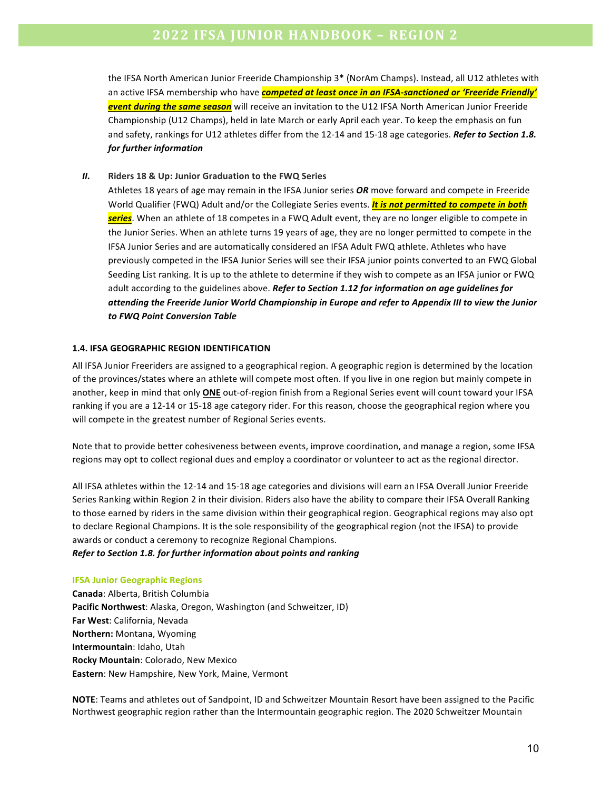the IFSA North American Junior Freeride Championship 3\* (NorAm Champs). Instead, all U12 athletes with an active IFSA membership who have *competed at least once in an IFSA-sanctioned or 'Freeride Friendly'* **event during the same season** will receive an invitation to the U12 IFSA North American Junior Freeride Championship (U12 Champs), held in late March or early April each year. To keep the emphasis on fun and safety, rankings for U12 athletes differ from the 12-14 and 15-18 age categories. Refer to Section 1.8. *for further information*

*II.* Riders 18 & Up: Junior Graduation to the FWQ Series

Athletes 18 years of age may remain in the IFSA Junior series OR move forward and compete in Freeride World Qualifier (FWQ) Adult and/or the Collegiate Series events. **It is not permitted to compete in both** series. When an athlete of 18 competes in a FWQ Adult event, they are no longer eligible to compete in the Junior Series. When an athlete turns 19 years of age, they are no longer permitted to compete in the IFSA Junior Series and are automatically considered an IFSA Adult FWQ athlete. Athletes who have previously competed in the IFSA Junior Series will see their IFSA junior points converted to an FWQ Global Seeding List ranking. It is up to the athlete to determine if they wish to compete as an IFSA junior or FWQ adult according to the guidelines above. Refer to Section 1.12 for information on age guidelines for attending the Freeride Junior World Championship in Europe and refer to Appendix III to view the Junior *to FWQ Point Conversion Table*

#### **1.4. IFSA GEOGRAPHIC REGION IDENTIFICATION**

All IFSA Junior Freeriders are assigned to a geographical region. A geographic region is determined by the location of the provinces/states where an athlete will compete most often. If you live in one region but mainly compete in another, keep in mind that only **ONE** out-of-region finish from a Regional Series event will count toward your IFSA ranking if you are a 12-14 or 15-18 age category rider. For this reason, choose the geographical region where you will compete in the greatest number of Regional Series events.

Note that to provide better cohesiveness between events, improve coordination, and manage a region, some IFSA regions may opt to collect regional dues and employ a coordinator or volunteer to act as the regional director.

All IFSA athletes within the 12-14 and 15-18 age categories and divisions will earn an IFSA Overall Junior Freeride Series Ranking within Region 2 in their division. Riders also have the ability to compare their IFSA Overall Ranking to those earned by riders in the same division within their geographical region. Geographical regions may also opt to declare Regional Champions. It is the sole responsibility of the geographical region (not the IFSA) to provide awards or conduct a ceremony to recognize Regional Champions.

#### *Refer to Section 1.8. for further information about points and ranking*

#### **IFSA Junior Geographic Regions**

**Canada**: Alberta, British Columbia Pacific Northwest: Alaska, Oregon, Washington (and Schweitzer, ID) **Far West: California, Nevada Northern:** Montana, Wyoming **Intermountain**: Idaho, Utah **Rocky Mountain: Colorado, New Mexico Eastern**: New Hampshire, New York, Maine, Vermont

**NOTE:** Teams and athletes out of Sandpoint, ID and Schweitzer Mountain Resort have been assigned to the Pacific Northwest geographic region rather than the Intermountain geographic region. The 2020 Schweitzer Mountain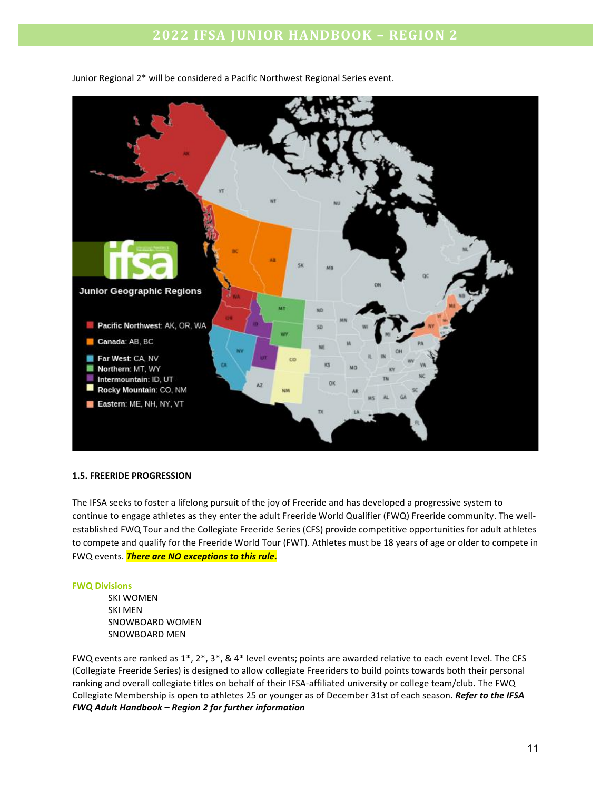

Junior Regional 2\* will be considered a Pacific Northwest Regional Series event.

#### **1.5. FREERIDE PROGRESSION**

The IFSA seeks to foster a lifelong pursuit of the joy of Freeride and has developed a progressive system to continue to engage athletes as they enter the adult Freeride World Qualifier (FWQ) Freeride community. The wellestablished FWQ Tour and the Collegiate Freeride Series (CFS) provide competitive opportunities for adult athletes to compete and qualify for the Freeride World Tour (FWT). Athletes must be 18 years of age or older to compete in FWQ events. **There are NO exceptions to this rule**.

#### **FWQ Divisions**

**SKI WOMEN SKI MEN** SNOWBOARD WOMEN SNOWBOARD MEN

FWQ events are ranked as  $1^*$ ,  $2^*$ ,  $3^*$ ,  $8.4^*$  level events; points are awarded relative to each event level. The CFS (Collegiate Freeride Series) is designed to allow collegiate Freeriders to build points towards both their personal ranking and overall collegiate titles on behalf of their IFSA-affiliated university or college team/club. The FWQ Collegiate Membership is open to athletes 25 or younger as of December 31st of each season. Refer to the IFSA *FWQ Adult Handbook – Region 2 for further information*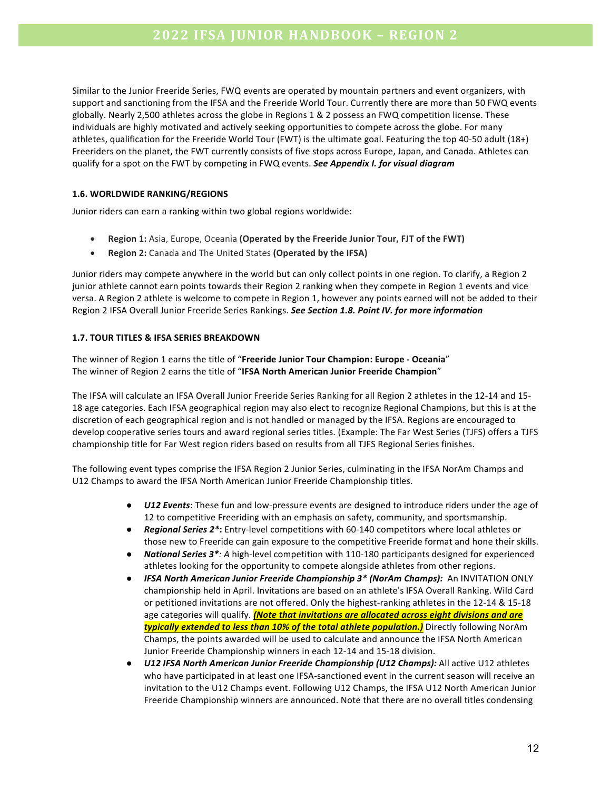Similar to the Junior Freeride Series, FWQ events are operated by mountain partners and event organizers, with support and sanctioning from the IFSA and the Freeride World Tour. Currently there are more than 50 FWQ events globally. Nearly 2,500 athletes across the globe in Regions 1 & 2 possess an FWQ competition license. These individuals are highly motivated and actively seeking opportunities to compete across the globe. For many athletes, qualification for the Freeride World Tour (FWT) is the ultimate goal. Featuring the top 40-50 adult  $(18+)$ Freeriders on the planet, the FWT currently consists of five stops across Europe, Japan, and Canada. Athletes can qualify for a spot on the FWT by competing in FWQ events. See Appendix I. for visual diagram

#### **1.6. WORLDWIDE RANKING/REGIONS**

Junior riders can earn a ranking within two global regions worldwide:

- **Region 1:** Asia, Europe, Oceania (Operated by the Freeride Junior Tour, FJT of the FWT)
- **Region 2:** Canada and The United States (Operated by the IFSA)

Junior riders may compete anywhere in the world but can only collect points in one region. To clarify, a Region 2 junior athlete cannot earn points towards their Region 2 ranking when they compete in Region 1 events and vice versa. A Region 2 athlete is welcome to compete in Region 1, however any points earned will not be added to their Region 2 IFSA Overall Junior Freeride Series Rankings. See Section 1.8. Point IV. for more information

#### **1.7. TOUR TITLES & IFSA SERIES BREAKDOWN**

The winner of Region 1 earns the title of "Freeride Junior Tour Champion: Europe - Oceania" The winner of Region 2 earns the title of "IFSA North American Junior Freeride Champion"

The IFSA will calculate an IFSA Overall Junior Freeride Series Ranking for all Region 2 athletes in the 12-14 and 15-18 age categories. Each IFSA geographical region may also elect to recognize Regional Champions, but this is at the discretion of each geographical region and is not handled or managed by the IFSA. Regions are encouraged to develop cooperative series tours and award regional series titles. (Example: The Far West Series (TJFS) offers a TJFS championship title for Far West region riders based on results from all TJFS Regional Series finishes.

The following event types comprise the IFSA Region 2 Junior Series, culminating in the IFSA NorAm Champs and U12 Champs to award the IFSA North American Junior Freeride Championship titles.

- *U12 Events*: These fun and low-pressure events are designed to introduce riders under the age of 12 to competitive Freeriding with an emphasis on safety, community, and sportsmanship.
- **Regional Series 2\*:** Entry-level competitions with 60-140 competitors where local athletes or those new to Freeride can gain exposure to the competitive Freeride format and hone their skills.
- **National Series 3\****:* A high-level competition with 110-180 participants designed for experienced athletes looking for the opportunity to compete alongside athletes from other regions.
- **•** IFSA North American Junior Freeride Championship 3\* (NorAm Champs): An INVITATION ONLY championship held in April. Invitations are based on an athlete's IFSA Overall Ranking. Wild Card or petitioned invitations are not offered. Only the highest-ranking athletes in the 12-14 & 15-18 age categories will qualify. *(Note that invitations are allocated across eight divisions and are* typically extended to less than 10% of the total athlete population.) Directly following NorAm Champs, the points awarded will be used to calculate and announce the IFSA North American Junior Freeride Championship winners in each 12-14 and 15-18 division.
- *U12 IFSA North American Junior Freeride Championship (U12 Champs):* **All active U12 athletes** who have participated in at least one IFSA-sanctioned event in the current season will receive an invitation to the U12 Champs event. Following U12 Champs, the IFSA U12 North American Junior Freeride Championship winners are announced. Note that there are no overall titles condensing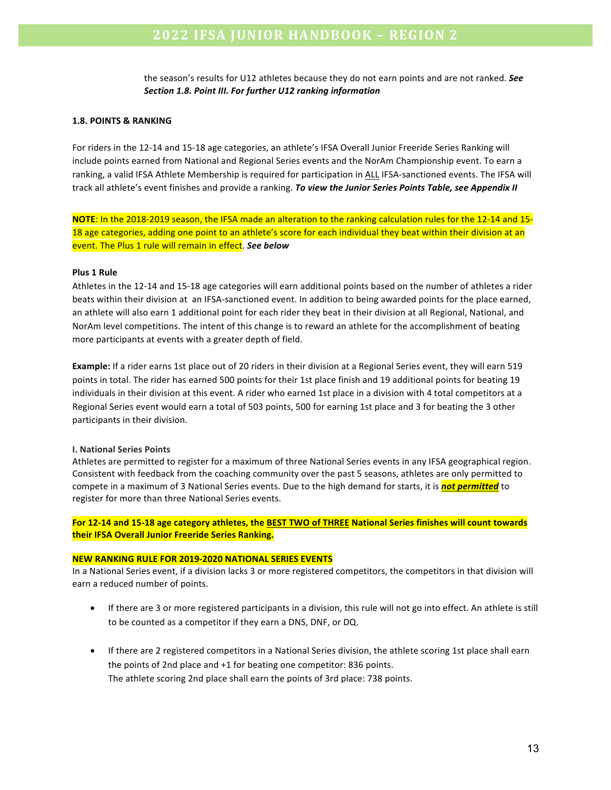the season's results for U12 athletes because they do not earn points and are not ranked. See Section 1.8. Point III. For further U12 ranking information

#### **1.8. POINTS & RANKING**

For riders in the 12-14 and 15-18 age categories, an athlete's IFSA Overall Junior Freeride Series Ranking will include points earned from National and Regional Series events and the NorAm Championship event. To earn a ranking, a valid IFSA Athlete Membership is required for participation in ALL IFSA-sanctioned events. The IFSA will track all athlete's event finishes and provide a ranking. *To view the Junior Series Points Table, see Appendix II* 

**NOTE**: In the 2018-2019 season, the IFSA made an alteration to the ranking calculation rules for the 12-14 and 15-18 age categories, adding one point to an athlete's score for each individual they beat within their division at an event. The Plus 1 rule will remain in effect. See below

#### **Plus 1 Rule**

Athletes in the 12-14 and 15-18 age categories will earn additional points based on the number of athletes a rider beats within their division at an IFSA-sanctioned event. In addition to being awarded points for the place earned, an athlete will also earn 1 additional point for each rider they beat in their division at all Regional, National, and NorAm level competitions. The intent of this change is to reward an athlete for the accomplishment of beating more participants at events with a greater depth of field.

**Example:** If a rider earns 1st place out of 20 riders in their division at a Regional Series event, they will earn 519 points in total. The rider has earned 500 points for their 1st place finish and 19 additional points for beating 19 individuals in their division at this event. A rider who earned 1st place in a division with 4 total competitors at a Regional Series event would earn a total of 503 points, 500 for earning 1st place and 3 for beating the 3 other participants in their division.

#### **I. National Series Points**

Athletes are permitted to register for a maximum of three National Series events in any IFSA geographical region. Consistent with feedback from the coaching community over the past 5 seasons, athletes are only permitted to compete in a maximum of 3 National Series events. Due to the high demand for starts, it is **not permitted** to register for more than three National Series events.

For 12-14 and 15-18 age category athletes, the BEST TWO of THREE National Series finishes will count towards **their IFSA Overall Junior Freeride Series Ranking.** 

#### **NEW RANKING RULE FOR 2019-2020 NATIONAL SERIES EVENTS**

In a National Series event, if a division lacks 3 or more registered competitors, the competitors in that division will earn a reduced number of points.

- If there are 3 or more registered participants in a division, this rule will not go into effect. An athlete is still to be counted as a competitor if they earn a DNS, DNF, or DQ.
- If there are 2 registered competitors in a National Series division, the athlete scoring 1st place shall earn the points of 2nd place and  $+1$  for beating one competitor: 836 points. The athlete scoring 2nd place shall earn the points of 3rd place: 738 points.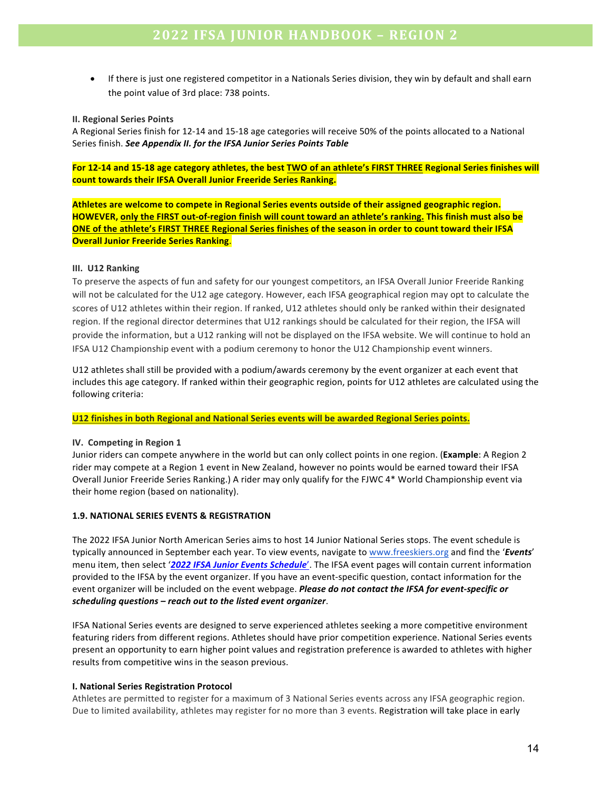If there is just one registered competitor in a Nationals Series division, they win by default and shall earn the point value of 3rd place: 738 points.

#### **II. Regional Series Points**

A Regional Series finish for 12-14 and 15-18 age categories will receive 50% of the points allocated to a National Series finish. See Appendix II. for the IFSA Junior Series Points Table

For 12-14 and 15-18 age category athletes, the best TWO of an athlete's FIRST THREE Regional Series finishes will count towards their IFSA Overall Junior Freeride Series Ranking.

Athletes are welcome to compete in Regional Series events outside of their assigned geographic region. **HOWEVER, only the FIRST out-of-region finish will count toward an athlete's ranking. This finish must also be ONE** of the athlete's FIRST THREE Regional Series finishes of the season in order to count toward their IFSA **Overall Junior Freeride Series Ranking.** 

#### **III.** U12 Ranking

To preserve the aspects of fun and safety for our youngest competitors, an IFSA Overall Junior Freeride Ranking will not be calculated for the U12 age category. However, each IFSA geographical region may opt to calculate the scores of U12 athletes within their region. If ranked, U12 athletes should only be ranked within their designated region. If the regional director determines that U12 rankings should be calculated for their region, the IFSA will provide the information, but a U12 ranking will not be displayed on the IFSA website. We will continue to hold an IFSA U12 Championship event with a podium ceremony to honor the U12 Championship event winners.

U12 athletes shall still be provided with a podium/awards ceremony by the event organizer at each event that includes this age category. If ranked within their geographic region, points for U12 athletes are calculated using the following criteria:

#### **U12 finishes in both Regional and National Series events will be awarded Regional Series points.**

#### **IV.** Competing in Region 1

Junior riders can compete anywhere in the world but can only collect points in one region. (Example: A Region 2 rider may compete at a Region 1 event in New Zealand, however no points would be earned toward their IFSA Overall Junior Freeride Series Ranking.) A rider may only qualify for the FJWC 4\* World Championship event via their home region (based on nationality).

#### **1.9. NATIONAL SERIES EVENTS & REGISTRATION**

The 2022 IFSA Junior North American Series aims to host 14 Junior National Series stops. The event schedule is typically announced in September each year. To view events, navigate to www.freeskiers.org and find the '*Events'* menu item, then select '2022 IFSA Junior Events Schedule'. The IFSA event pages will contain current information provided to the IFSA by the event organizer. If you have an event-specific question, contact information for the event organizer will be included on the event webpage. *Please do not contact the IFSA for event-specific or scheduling questions* – *reach* out to the listed event organizer.

IFSA National Series events are designed to serve experienced athletes seeking a more competitive environment featuring riders from different regions. Athletes should have prior competition experience. National Series events present an opportunity to earn higher point values and registration preference is awarded to athletes with higher results from competitive wins in the season previous.

#### **I. National Series Registration Protocol**

Athletes are permitted to register for a maximum of 3 National Series events across any IFSA geographic region. Due to limited availability, athletes may register for no more than 3 events. Registration will take place in early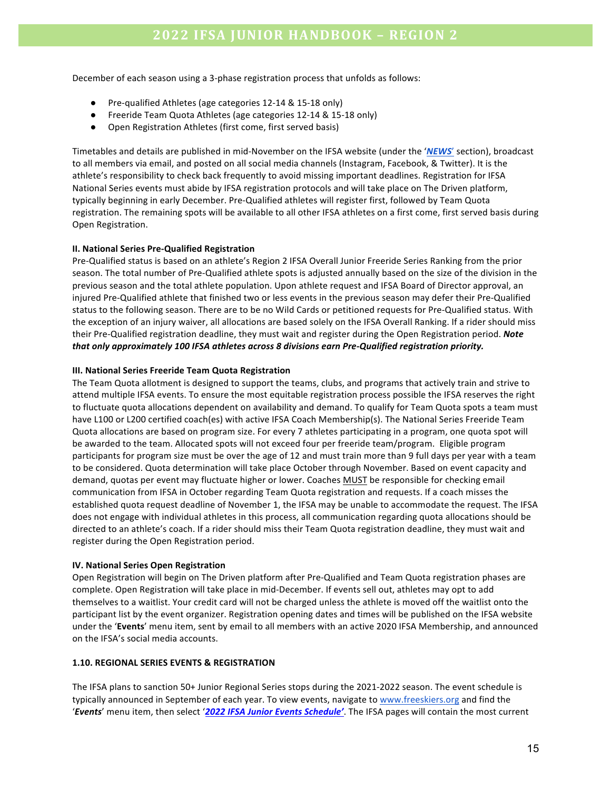December of each season using a 3-phase registration process that unfolds as follows:

- Pre-qualified Athletes (age categories 12-14 & 15-18 only)
- Freeride Team Quota Athletes (age categories 12-14 & 15-18 only)
- Open Registration Athletes (first come, first served basis)

Timetables and details are published in mid-November on the IFSA website (under the '*NEWS'* section), broadcast to all members via email, and posted on all social media channels (Instagram, Facebook, & Twitter). It is the athlete's responsibility to check back frequently to avoid missing important deadlines. Registration for IFSA National Series events must abide by IFSA registration protocols and will take place on The Driven platform, typically beginning in early December. Pre-Qualified athletes will register first, followed by Team Quota registration. The remaining spots will be available to all other IFSA athletes on a first come, first served basis during Open Registration.

#### **II. National Series Pre-Qualified Registration**

Pre-Qualified status is based on an athlete's Region 2 IFSA Overall Junior Freeride Series Ranking from the prior season. The total number of Pre-Qualified athlete spots is adjusted annually based on the size of the division in the previous season and the total athlete population. Upon athlete request and IFSA Board of Director approval, an injured Pre-Qualified athlete that finished two or less events in the previous season may defer their Pre-Qualified status to the following season. There are to be no Wild Cards or petitioned requests for Pre-Qualified status. With the exception of an injury waiver, all allocations are based solely on the IFSA Overall Ranking. If a rider should miss their Pre-Qualified registration deadline, they must wait and register during the Open Registration period. **Note** *that only approximately 100 IFSA athletes across 8 divisions earn Pre-Qualified registration priority.* 

#### **III. National Series Freeride Team Quota Registration**

The Team Quota allotment is designed to support the teams, clubs, and programs that actively train and strive to attend multiple IFSA events. To ensure the most equitable registration process possible the IFSA reserves the right to fluctuate quota allocations dependent on availability and demand. To qualify for Team Quota spots a team must have L100 or L200 certified coach(es) with active IFSA Coach Membership(s). The National Series Freeride Team Quota allocations are based on program size. For every 7 athletes participating in a program, one quota spot will be awarded to the team. Allocated spots will not exceed four per freeride team/program. Eligible program participants for program size must be over the age of 12 and must train more than 9 full days per year with a team to be considered. Quota determination will take place October through November. Based on event capacity and demand, quotas per event may fluctuate higher or lower. Coaches MUST be responsible for checking email communication from IFSA in October regarding Team Quota registration and requests. If a coach misses the established quota request deadline of November 1, the IFSA may be unable to accommodate the request. The IFSA does not engage with individual athletes in this process, all communication regarding quota allocations should be directed to an athlete's coach. If a rider should miss their Team Quota registration deadline, they must wait and register during the Open Registration period.

#### **IV. National Series Open Registration**

Open Registration will begin on The Driven platform after Pre-Qualified and Team Quota registration phases are complete. Open Registration will take place in mid-December. If events sell out, athletes may opt to add themselves to a waitlist. Your credit card will not be charged unless the athlete is moved off the waitlist onto the participant list by the event organizer. Registration opening dates and times will be published on the IFSA website under the 'Events' menu item, sent by email to all members with an active 2020 IFSA Membership, and announced on the IFSA's social media accounts.

#### **1.10. REGIONAL SERIES EVENTS & REGISTRATION**

The IFSA plans to sanction 50+ Junior Regional Series stops during the 2021-2022 season. The event schedule is typically announced in September of each year. To view events, navigate to www.freeskiers.org and find the '*Events'* menu item, then select '2022 IFSA Junior Events Schedule'. The IFSA pages will contain the most current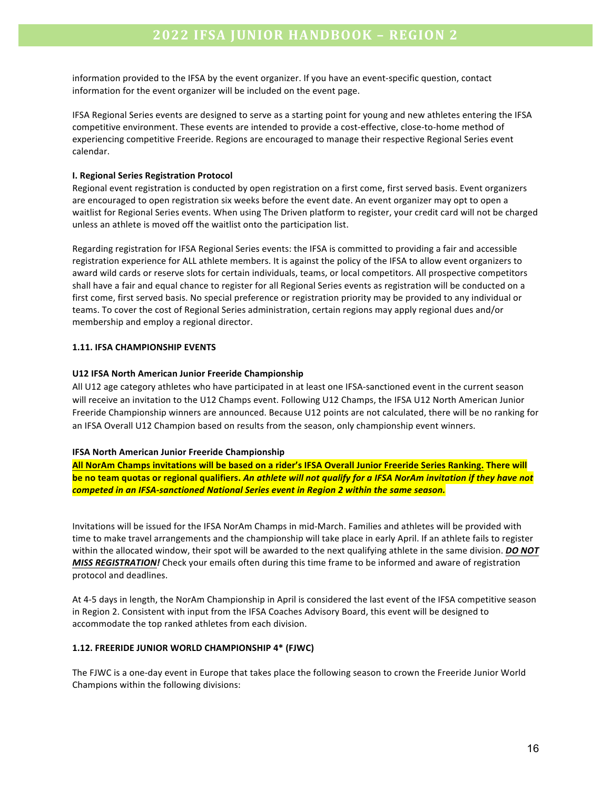information provided to the IFSA by the event organizer. If you have an event-specific question, contact information for the event organizer will be included on the event page.

IFSA Regional Series events are designed to serve as a starting point for young and new athletes entering the IFSA competitive environment. These events are intended to provide a cost-effective, close-to-home method of experiencing competitive Freeride. Regions are encouraged to manage their respective Regional Series event calendar. 

#### **I. Regional Series Registration Protocol**

Regional event registration is conducted by open registration on a first come, first served basis. Event organizers are encouraged to open registration six weeks before the event date. An event organizer may opt to open a waitlist for Regional Series events. When using The Driven platform to register, your credit card will not be charged unless an athlete is moved off the waitlist onto the participation list.

Regarding registration for IFSA Regional Series events: the IFSA is committed to providing a fair and accessible registration experience for ALL athlete members. It is against the policy of the IFSA to allow event organizers to award wild cards or reserve slots for certain individuals, teams, or local competitors. All prospective competitors shall have a fair and equal chance to register for all Regional Series events as registration will be conducted on a first come, first served basis. No special preference or registration priority may be provided to any individual or teams. To cover the cost of Regional Series administration, certain regions may apply regional dues and/or membership and employ a regional director.

#### **1.11. IFSA CHAMPIONSHIP EVENTS**

#### **U12 IFSA North American Junior Freeride Championship**

All U12 age category athletes who have participated in at least one IFSA-sanctioned event in the current season will receive an invitation to the U12 Champs event. Following U12 Champs, the IFSA U12 North American Junior Freeride Championship winners are announced. Because U12 points are not calculated, there will be no ranking for an IFSA Overall U12 Champion based on results from the season, only championship event winners.

#### **IFSA North American Junior Freeride Championship**

All NorAm Champs invitations will be based on a rider's IFSA Overall Junior Freeride Series Ranking. There will be no team quotas or regional qualifiers. An athlete will not qualify for a IFSA NorAm invitation if they have not competed in an IFSA-sanctioned National Series event in Region 2 within the same season.

Invitations will be issued for the IFSA NorAm Champs in mid-March. Families and athletes will be provided with time to make travel arrangements and the championship will take place in early April. If an athlete fails to register within the allocated window, their spot will be awarded to the next qualifying athlete in the same division. *DO NOT MISS REGISTRATION!* Check your emails often during this time frame to be informed and aware of registration protocol and deadlines.

At 4-5 days in length, the NorAm Championship in April is considered the last event of the IFSA competitive season in Region 2. Consistent with input from the IFSA Coaches Advisory Board, this event will be designed to accommodate the top ranked athletes from each division.

#### **1.12. FREERIDE JUNIOR WORLD CHAMPIONSHIP 4\* (FJWC)**

The FJWC is a one-day event in Europe that takes place the following season to crown the Freeride Junior World Champions within the following divisions: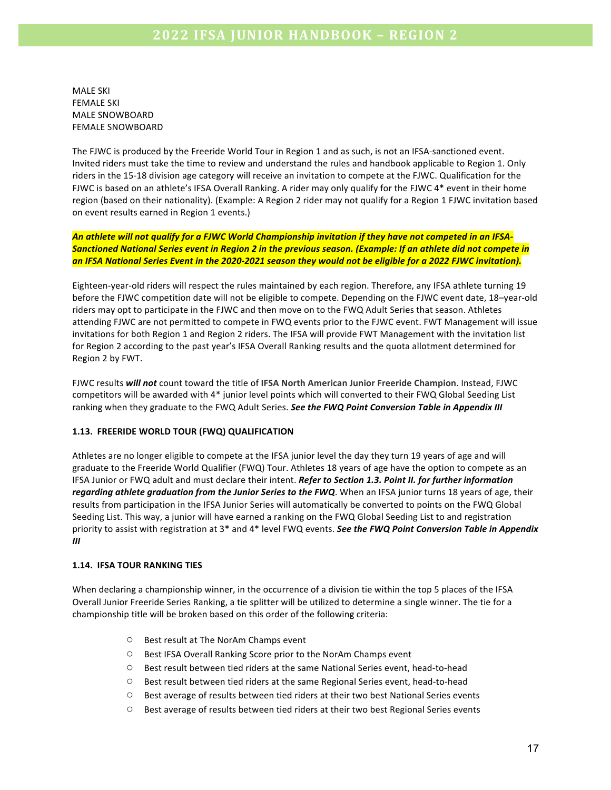**MALE SKI FEMALE SKI** MALE SNOWBOARD FEMALE SNOWBOARD

The FJWC is produced by the Freeride World Tour in Region 1 and as such, is not an IFSA-sanctioned event. Invited riders must take the time to review and understand the rules and handbook applicable to Region 1. Only riders in the 15-18 division age category will receive an invitation to compete at the FJWC. Qualification for the FJWC is based on an athlete's IFSA Overall Ranking. A rider may only qualify for the FJWC 4<sup>\*</sup> event in their home region (based on their nationality). (Example: A Region 2 rider may not qualify for a Region 1 FJWC invitation based on event results earned in Region 1 events.)

An athlete will not qualify for a FJWC World Championship invitation if they have not competed in an IFSA-**Sanctioned National Series event in Region 2 in the previous season. (Example: If an athlete did not compete in** an IFSA National Series Event in the 2020-2021 season they would not be eligible for a 2022 FJWC invitation).

Eighteen-year-old riders will respect the rules maintained by each region. Therefore, any IFSA athlete turning 19 before the FJWC competition date will not be eligible to compete. Depending on the FJWC event date, 18–year-old riders may opt to participate in the FJWC and then move on to the FWQ Adult Series that season. Athletes attending FJWC are not permitted to compete in FWQ events prior to the FJWC event. FWT Management will issue invitations for both Region 1 and Region 2 riders. The IFSA will provide FWT Management with the invitation list for Region 2 according to the past year's IFSA Overall Ranking results and the quota allotment determined for Region 2 by FWT. 

FJWC results will not count toward the title of IFSA North American Junior Freeride Champion. Instead, FJWC competitors will be awarded with 4\* junior level points which will converted to their FWQ Global Seeding List ranking when they graduate to the FWQ Adult Series. See the FWQ Point Conversion Table in Appendix III

#### **1.13. FREERIDE WORLD TOUR (FWQ) QUALIFICATION**

Athletes are no longer eligible to compete at the IFSA junior level the day they turn 19 years of age and will graduate to the Freeride World Qualifier (FWQ) Tour. Athletes 18 years of age have the option to compete as an IFSA Junior or FWQ adult and must declare their intent. Refer to Section 1.3. Point II. for further information regarding athlete graduation from the Junior Series to the FWQ. When an IFSA junior turns 18 years of age, their results from participation in the IFSA Junior Series will automatically be converted to points on the FWQ Global Seeding List. This way, a junior will have earned a ranking on the FWQ Global Seeding List to and registration priority to assist with registration at 3<sup>\*</sup> and 4<sup>\*</sup> level FWQ events. See the FWQ Point Conversion Table in Appendix *III*

#### **1.14. IFSA TOUR RANKING TIES**

When declaring a championship winner, in the occurrence of a division tie within the top 5 places of the IFSA Overall Junior Freeride Series Ranking, a tie splitter will be utilized to determine a single winner. The tie for a championship title will be broken based on this order of the following criteria:

- O Best result at The NorAm Champs event
- Best IFSA Overall Ranking Score prior to the NorAm Champs event
- O Best result between tied riders at the same National Series event, head-to-head
- $\circ$  Best result between tied riders at the same Regional Series event, head-to-head
- $\circ$  Best average of results between tied riders at their two best National Series events
- $\circ$  Best average of results between tied riders at their two best Regional Series events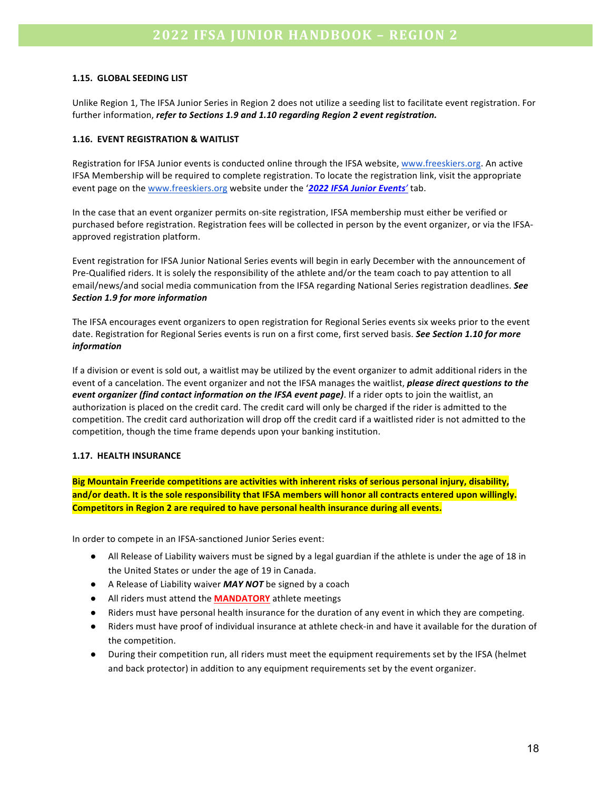#### **1.15. GLOBAL SEEDING LIST**

Unlike Region 1, The IFSA Junior Series in Region 2 does not utilize a seeding list to facilitate event registration. For further information, *refer to Sections 1.9 and 1.10 regarding Region 2 event registration.* 

#### **1.16. EVENT REGISTRATION & WAITLIST**

Registration for IFSA Junior events is conducted online through the IFSA website, www.freeskiers.org. An active IFSA Membership will be required to complete registration. To locate the registration link, visit the appropriate event page on the www.freeskiers.org website under the '2022 IFSA Junior Events' tab.

In the case that an event organizer permits on-site registration, IFSA membership must either be verified or purchased before registration. Registration fees will be collected in person by the event organizer, or via the IFSAapproved registration platform.

Event registration for IFSA Junior National Series events will begin in early December with the announcement of Pre-Qualified riders. It is solely the responsibility of the athlete and/or the team coach to pay attention to all email/news/and social media communication from the IFSA regarding National Series registration deadlines. See *Section 1.9 for more information*

The IFSA encourages event organizers to open registration for Regional Series events six weeks prior to the event date. Registration for Regional Series events is run on a first come, first served basis. See Section 1.10 for more *information*

If a division or event is sold out, a waitlist may be utilized by the event organizer to admit additional riders in the event of a cancelation. The event organizer and not the IFSA manages the waitlist, *please direct questions to the event organizer (find contact information on the IFSA event page)*. If a rider opts to join the waitlist, an authorization is placed on the credit card. The credit card will only be charged if the rider is admitted to the competition. The credit card authorization will drop off the credit card if a waitlisted rider is not admitted to the competition, though the time frame depends upon your banking institution.

#### **1.17. HEALTH INSURANCE**

**Big Mountain Freeride competitions are activities with inherent risks of serious personal injury, disability,** and/or death. It is the sole responsibility that IFSA members will honor all contracts entered upon willingly. **Competitors in Region 2 are required to have personal health insurance during all events.** 

In order to compete in an IFSA-sanctioned Junior Series event:

- All Release of Liability waivers must be signed by a legal guardian if the athlete is under the age of 18 in the United States or under the age of 19 in Canada.
- A Release of Liability waiver *MAY NOT* be signed by a coach
- **•** All riders must attend the **MANDATORY** athlete meetings
- Riders must have personal health insurance for the duration of any event in which they are competing.
- Riders must have proof of individual insurance at athlete check-in and have it available for the duration of the competition.
- During their competition run, all riders must meet the equipment requirements set by the IFSA (helmet and back protector) in addition to any equipment requirements set by the event organizer.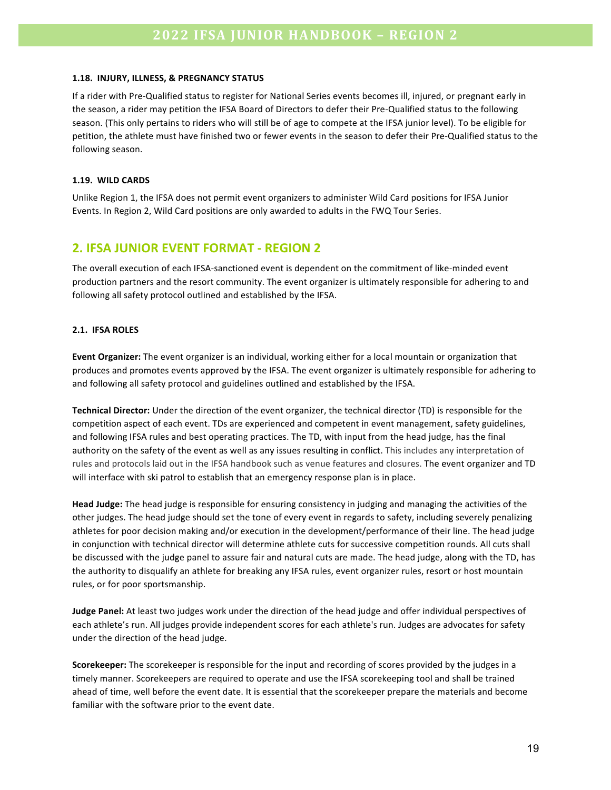#### **1.18. INJURY, ILLNESS, & PREGNANCY STATUS**

If a rider with Pre-Qualified status to register for National Series events becomes ill, injured, or pregnant early in the season, a rider may petition the IFSA Board of Directors to defer their Pre-Qualified status to the following season. (This only pertains to riders who will still be of age to compete at the IFSA junior level). To be eligible for petition, the athlete must have finished two or fewer events in the season to defer their Pre-Qualified status to the following season.

#### **1.19. WILD CARDS**

Unlike Region 1, the IFSA does not permit event organizers to administer Wild Card positions for IFSA Junior Events. In Region 2, Wild Card positions are only awarded to adults in the FWQ Tour Series.

### **2. IFSA JUNIOR EVENT FORMAT - REGION 2**

The overall execution of each IFSA-sanctioned event is dependent on the commitment of like-minded event production partners and the resort community. The event organizer is ultimately responsible for adhering to and following all safety protocol outlined and established by the IFSA.

#### **2.1. IFSA ROLES**

**Event Organizer:** The event organizer is an individual, working either for a local mountain or organization that produces and promotes events approved by the IFSA. The event organizer is ultimately responsible for adhering to and following all safety protocol and guidelines outlined and established by the IFSA.

**Technical Director:** Under the direction of the event organizer, the technical director (TD) is responsible for the competition aspect of each event. TDs are experienced and competent in event management, safety guidelines, and following IFSA rules and best operating practices. The TD, with input from the head judge, has the final authority on the safety of the event as well as any issues resulting in conflict. This includes any interpretation of rules and protocols laid out in the IFSA handbook such as venue features and closures. The event organizer and TD will interface with ski patrol to establish that an emergency response plan is in place.

Head Judge: The head judge is responsible for ensuring consistency in judging and managing the activities of the other judges. The head judge should set the tone of every event in regards to safety, including severely penalizing athletes for poor decision making and/or execution in the development/performance of their line. The head judge in conjunction with technical director will determine athlete cuts for successive competition rounds. All cuts shall be discussed with the judge panel to assure fair and natural cuts are made. The head judge, along with the TD, has the authority to disqualify an athlete for breaking any IFSA rules, event organizer rules, resort or host mountain rules, or for poor sportsmanship.

**Judge Panel:** At least two judges work under the direction of the head judge and offer individual perspectives of each athlete's run. All judges provide independent scores for each athlete's run. Judges are advocates for safety under the direction of the head judge.

**Scorekeeper:** The scorekeeper is responsible for the input and recording of scores provided by the judges in a timely manner. Scorekeepers are required to operate and use the IFSA scorekeeping tool and shall be trained ahead of time, well before the event date. It is essential that the scorekeeper prepare the materials and become familiar with the software prior to the event date.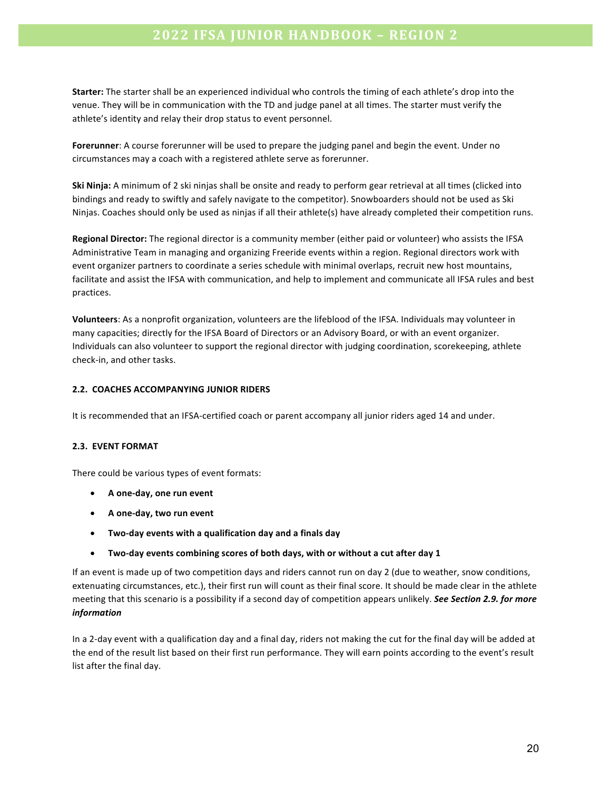**Starter:** The starter shall be an experienced individual who controls the timing of each athlete's drop into the venue. They will be in communication with the TD and judge panel at all times. The starter must verify the athlete's identity and relay their drop status to event personnel.

**Forerunner:** A course forerunner will be used to prepare the judging panel and begin the event. Under no circumstances may a coach with a registered athlete serve as forerunner.

**Ski Ninja:** A minimum of 2 ski ninjas shall be onsite and ready to perform gear retrieval at all times (clicked into bindings and ready to swiftly and safely navigate to the competitor). Snowboarders should not be used as Ski Ninjas. Coaches should only be used as ninjas if all their athlete(s) have already completed their competition runs.

**Regional Director:** The regional director is a community member (either paid or volunteer) who assists the IFSA Administrative Team in managing and organizing Freeride events within a region. Regional directors work with event organizer partners to coordinate a series schedule with minimal overlaps, recruit new host mountains, facilitate and assist the IFSA with communication, and help to implement and communicate all IFSA rules and best practices.

**Volunteers**: As a nonprofit organization, volunteers are the lifeblood of the IFSA. Individuals may volunteer in many capacities; directly for the IFSA Board of Directors or an Advisory Board, or with an event organizer. Individuals can also volunteer to support the regional director with judging coordination, scorekeeping, athlete check-in, and other tasks.

#### **2.2. COACHES ACCOMPANYING JUNIOR RIDERS**

It is recommended that an IFSA-certified coach or parent accompany all junior riders aged 14 and under.

#### **2.3. EVENT FORMAT**

There could be various types of event formats:

- **A one-day, one run event**
- **A one-day, two run event**
- **Two-day events with a qualification day and a finals day**
- Two-day events combining scores of both days, with or without a cut after day 1

If an event is made up of two competition days and riders cannot run on day 2 (due to weather, snow conditions, extenuating circumstances, etc.), their first run will count as their final score. It should be made clear in the athlete meeting that this scenario is a possibility if a second day of competition appears unlikely. See Section 2.9. for more *information*

In a 2-day event with a qualification day and a final day, riders not making the cut for the final day will be added at the end of the result list based on their first run performance. They will earn points according to the event's result list after the final day.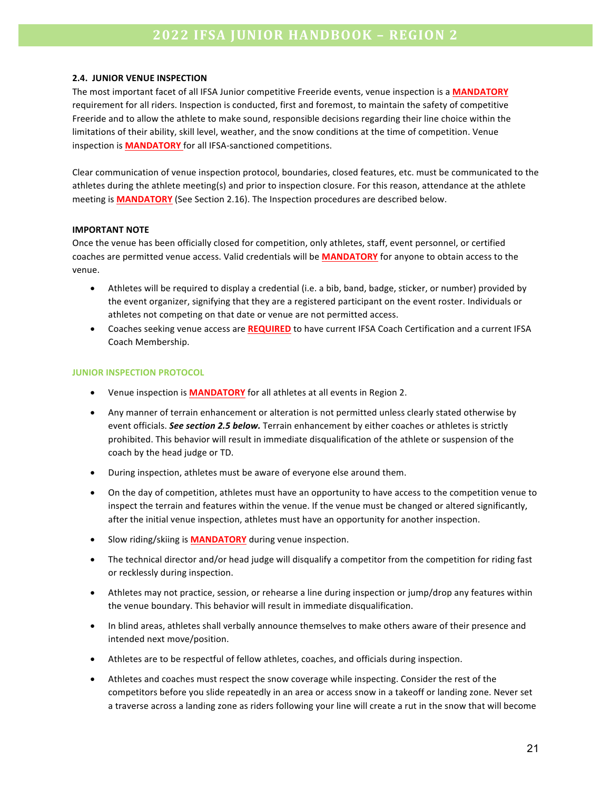#### **2.4. JUNIOR VENUE INSPECTION**

The most important facet of all IFSA Junior competitive Freeride events, venue inspection is a **MANDATORY** requirement for all riders. Inspection is conducted, first and foremost, to maintain the safety of competitive Freeride and to allow the athlete to make sound, responsible decisions regarding their line choice within the limitations of their ability, skill level, weather, and the snow conditions at the time of competition. Venue inspection is **MANDATORY** for all IFSA-sanctioned competitions.

Clear communication of venue inspection protocol, boundaries, closed features, etc. must be communicated to the athletes during the athlete meeting(s) and prior to inspection closure. For this reason, attendance at the athlete meeting is **MANDATORY** (See Section 2.16). The Inspection procedures are described below.

#### **IMPORTANT NOTE**

Once the venue has been officially closed for competition, only athletes, staff, event personnel, or certified coaches are permitted venue access. Valid credentials will be **MANDATORY** for anyone to obtain access to the venue.

- Athletes will be required to display a credential (i.e. a bib, band, badge, sticker, or number) provided by the event organizer, signifying that they are a registered participant on the event roster. Individuals or athletes not competing on that date or venue are not permitted access.
- Coaches seeking venue access are **REQUIRED** to have current IFSA Coach Certification and a current IFSA Coach Membership.

#### **JUNIOR INSPECTION PROTOCOL**

- Venue inspection is **MANDATORY** for all athletes at all events in Region 2.
- Any manner of terrain enhancement or alteration is not permitted unless clearly stated otherwise by event officials. **See section 2.5 below.** Terrain enhancement by either coaches or athletes is strictly prohibited. This behavior will result in immediate disqualification of the athlete or suspension of the coach by the head judge or TD.
- During inspection, athletes must be aware of everyone else around them.
- On the day of competition, athletes must have an opportunity to have access to the competition venue to inspect the terrain and features within the venue. If the venue must be changed or altered significantly, after the initial venue inspection, athletes must have an opportunity for another inspection.
- Slow riding/skiing is **MANDATORY** during venue inspection.
- The technical director and/or head judge will disqualify a competitor from the competition for riding fast or recklessly during inspection.
- Athletes may not practice, session, or rehearse a line during inspection or jump/drop any features within the venue boundary. This behavior will result in immediate disqualification.
- In blind areas, athletes shall verbally announce themselves to make others aware of their presence and intended next move/position.
- Athletes are to be respectful of fellow athletes, coaches, and officials during inspection.
- Athletes and coaches must respect the snow coverage while inspecting. Consider the rest of the competitors before you slide repeatedly in an area or access snow in a takeoff or landing zone. Never set a traverse across a landing zone as riders following your line will create a rut in the snow that will become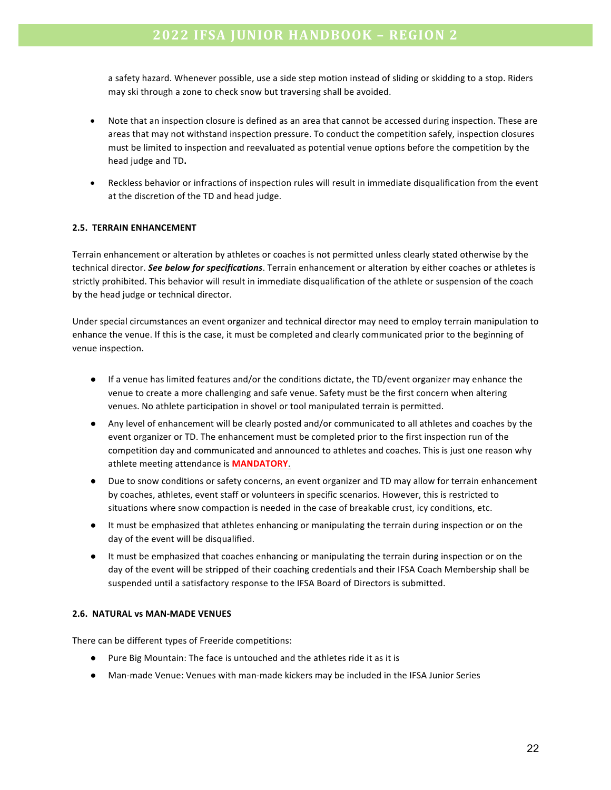a safety hazard. Whenever possible, use a side step motion instead of sliding or skidding to a stop. Riders may ski through a zone to check snow but traversing shall be avoided.

- Note that an inspection closure is defined as an area that cannot be accessed during inspection. These are areas that may not withstand inspection pressure. To conduct the competition safely, inspection closures must be limited to inspection and reevaluated as potential venue options before the competition by the head judge and TD.
- Reckless behavior or infractions of inspection rules will result in immediate disqualification from the event at the discretion of the TD and head judge.

#### **2.5. TERRAIN ENHANCEMENT**

Terrain enhancement or alteration by athletes or coaches is not permitted unless clearly stated otherwise by the technical director. See below for specifications. Terrain enhancement or alteration by either coaches or athletes is strictly prohibited. This behavior will result in immediate disqualification of the athlete or suspension of the coach by the head judge or technical director.

Under special circumstances an event organizer and technical director may need to employ terrain manipulation to enhance the venue. If this is the case, it must be completed and clearly communicated prior to the beginning of venue inspection.

- If a venue has limited features and/or the conditions dictate, the TD/event organizer may enhance the venue to create a more challenging and safe venue. Safety must be the first concern when altering venues. No athlete participation in shovel or tool manipulated terrain is permitted.
- Any level of enhancement will be clearly posted and/or communicated to all athletes and coaches by the event organizer or TD. The enhancement must be completed prior to the first inspection run of the competition day and communicated and announced to athletes and coaches. This is just one reason why athlete meeting attendance is **MANDATORY**.
- Due to snow conditions or safety concerns, an event organizer and TD may allow for terrain enhancement by coaches, athletes, event staff or volunteers in specific scenarios. However, this is restricted to situations where snow compaction is needed in the case of breakable crust, icy conditions, etc.
- It must be emphasized that athletes enhancing or manipulating the terrain during inspection or on the day of the event will be disqualified.
- It must be emphasized that coaches enhancing or manipulating the terrain during inspection or on the day of the event will be stripped of their coaching credentials and their IFSA Coach Membership shall be suspended until a satisfactory response to the IFSA Board of Directors is submitted.

#### **2.6. NATURAL vs MAN-MADE VENUES**

There can be different types of Freeride competitions:

- Pure Big Mountain: The face is untouched and the athletes ride it as it is
- Man-made Venue: Venues with man-made kickers may be included in the IFSA Junior Series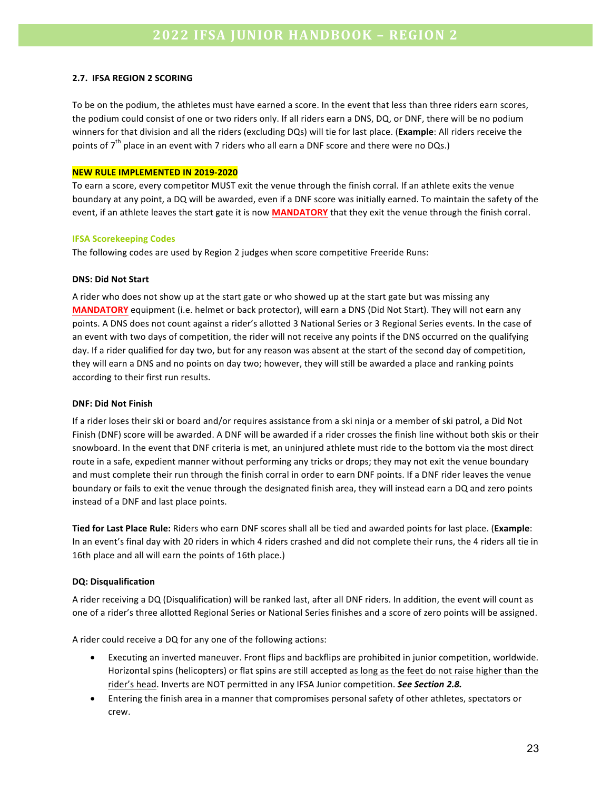#### **2.7. IFSA REGION 2 SCORING**

To be on the podium, the athletes must have earned a score. In the event that less than three riders earn scores, the podium could consist of one or two riders only. If all riders earn a DNS, DQ, or DNF, there will be no podium winners for that division and all the riders (excluding DQs) will tie for last place. (Example: All riders receive the points of  $7<sup>th</sup>$  place in an event with 7 riders who all earn a DNF score and there were no DQs.)

#### **NEW RULE IMPLEMENTED IN 2019-2020**

To earn a score, every competitor MUST exit the venue through the finish corral. If an athlete exits the venue boundary at any point, a DQ will be awarded, even if a DNF score was initially earned. To maintain the safety of the event, if an athlete leaves the start gate it is now **MANDATORY** that they exit the venue through the finish corral.

#### **IFSA Scorekeeping Codes**

The following codes are used by Region 2 judges when score competitive Freeride Runs:

#### **DNS: Did Not Start**

A rider who does not show up at the start gate or who showed up at the start gate but was missing any **MANDATORY** equipment (i.e. helmet or back protector), will earn a DNS (Did Not Start). They will not earn any points. A DNS does not count against a rider's allotted 3 National Series or 3 Regional Series events. In the case of an event with two days of competition, the rider will not receive any points if the DNS occurred on the qualifying day. If a rider qualified for day two, but for any reason was absent at the start of the second day of competition, they will earn a DNS and no points on day two; however, they will still be awarded a place and ranking points according to their first run results.

#### **DNF: Did Not Finish**

If a rider loses their ski or board and/or requires assistance from a ski ninja or a member of ski patrol, a Did Not Finish (DNF) score will be awarded. A DNF will be awarded if a rider crosses the finish line without both skis or their snowboard. In the event that DNF criteria is met, an uninjured athlete must ride to the bottom via the most direct route in a safe, expedient manner without performing any tricks or drops; they may not exit the venue boundary and must complete their run through the finish corral in order to earn DNF points. If a DNF rider leaves the venue boundary or fails to exit the venue through the designated finish area, they will instead earn a DQ and zero points instead of a DNF and last place points.

**Tied for Last Place Rule:** Riders who earn DNF scores shall all be tied and awarded points for last place. (**Example**: In an event's final day with 20 riders in which 4 riders crashed and did not complete their runs, the 4 riders all tie in 16th place and all will earn the points of 16th place.)

#### **DQ: Disqualification**

A rider receiving a DQ (Disqualification) will be ranked last, after all DNF riders. In addition, the event will count as one of a rider's three allotted Regional Series or National Series finishes and a score of zero points will be assigned.

A rider could receive a DQ for any one of the following actions:

- Executing an inverted maneuver. Front flips and backflips are prohibited in junior competition, worldwide. Horizontal spins (helicopters) or flat spins are still accepted as long as the feet do not raise higher than the rider's head. Inverts are NOT permitted in any IFSA Junior competition. See Section 2.8.
- Entering the finish area in a manner that compromises personal safety of other athletes, spectators or crew.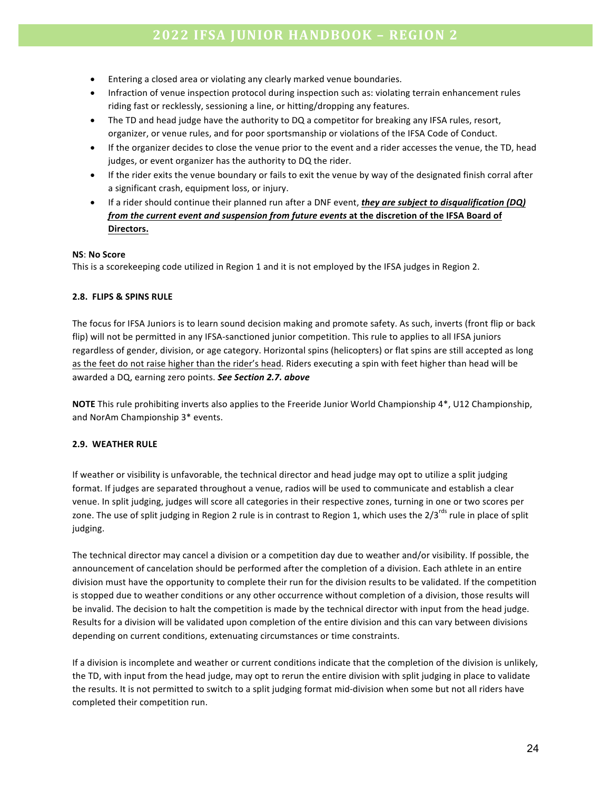- Entering a closed area or violating any clearly marked venue boundaries.
- Infraction of venue inspection protocol during inspection such as: violating terrain enhancement rules riding fast or recklessly, sessioning a line, or hitting/dropping any features.
- The TD and head judge have the authority to DQ a competitor for breaking any IFSA rules, resort, organizer, or venue rules, and for poor sportsmanship or violations of the IFSA Code of Conduct.
- If the organizer decides to close the venue prior to the event and a rider accesses the venue, the TD, head judges, or event organizer has the authority to DQ the rider.
- If the rider exits the venue boundary or fails to exit the venue by way of the designated finish corral after a significant crash, equipment loss, or injury.
- If a rider should continue their planned run after a DNF event, *they are subject to disqualification* (DQ) *from the current event and suspension from future events* at the discretion of the IFSA Board of **Directors.**

#### **NS**: **No Score**

This is a scorekeeping code utilized in Region 1 and it is not employed by the IFSA judges in Region 2.

#### **2.8. FLIPS & SPINS RULE**

The focus for IFSA Juniors is to learn sound decision making and promote safety. As such, inverts (front flip or back flip) will not be permitted in any IFSA-sanctioned junior competition. This rule to applies to all IFSA juniors regardless of gender, division, or age category. Horizontal spins (helicopters) or flat spins are still accepted as long as the feet do not raise higher than the rider's head. Riders executing a spin with feet higher than head will be awarded a DQ, earning zero points. See Section 2.7. above

**NOTE** This rule prohibiting inverts also applies to the Freeride Junior World Championship 4\*, U12 Championship, and NorAm Championship 3\* events.

#### **2.9. WEATHER RULE**

If weather or visibility is unfavorable, the technical director and head judge may opt to utilize a split judging format. If judges are separated throughout a venue, radios will be used to communicate and establish a clear venue. In split judging, judges will score all categories in their respective zones, turning in one or two scores per zone. The use of split judging in Region 2 rule is in contrast to Region 1, which uses the  $2/3^{rds}$  rule in place of split judging.

The technical director may cancel a division or a competition day due to weather and/or visibility. If possible, the announcement of cancelation should be performed after the completion of a division. Each athlete in an entire division must have the opportunity to complete their run for the division results to be validated. If the competition is stopped due to weather conditions or any other occurrence without completion of a division, those results will be invalid. The decision to halt the competition is made by the technical director with input from the head judge. Results for a division will be validated upon completion of the entire division and this can vary between divisions depending on current conditions, extenuating circumstances or time constraints.

If a division is incomplete and weather or current conditions indicate that the completion of the division is unlikely, the TD, with input from the head judge, may opt to rerun the entire division with split judging in place to validate the results. It is not permitted to switch to a split judging format mid-division when some but not all riders have completed their competition run.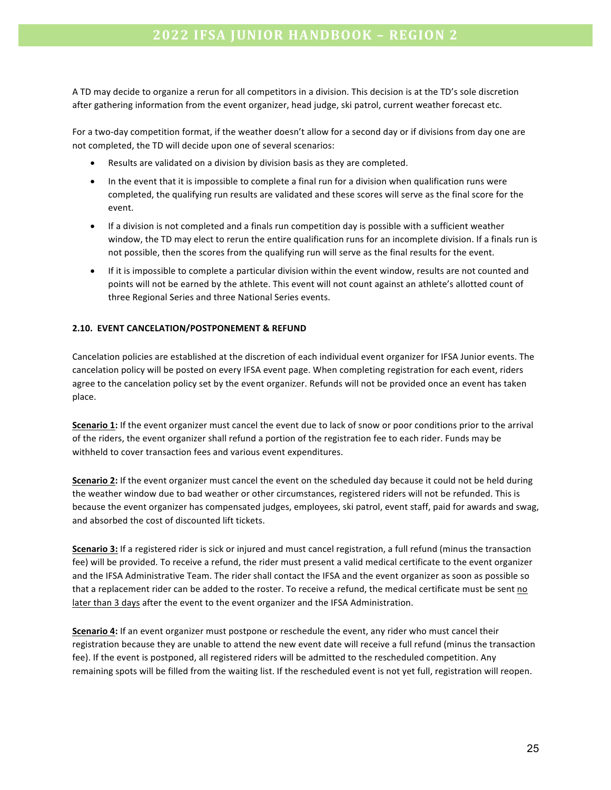A TD may decide to organize a rerun for all competitors in a division. This decision is at the TD's sole discretion after gathering information from the event organizer, head judge, ski patrol, current weather forecast etc.

For a two-day competition format, if the weather doesn't allow for a second day or if divisions from day one are not completed, the TD will decide upon one of several scenarios:

- Results are validated on a division by division basis as they are completed.
- In the event that it is impossible to complete a final run for a division when qualification runs were completed, the qualifying run results are validated and these scores will serve as the final score for the event.
- If a division is not completed and a finals run competition day is possible with a sufficient weather window, the TD may elect to rerun the entire qualification runs for an incomplete division. If a finals run is not possible, then the scores from the qualifying run will serve as the final results for the event.
- If it is impossible to complete a particular division within the event window, results are not counted and points will not be earned by the athlete. This event will not count against an athlete's allotted count of three Regional Series and three National Series events.

#### **2.10. EVENT CANCELATION/POSTPONEMENT & REFUND**

Cancelation policies are established at the discretion of each individual event organizer for IFSA Junior events. The cancelation policy will be posted on every IFSA event page. When completing registration for each event, riders agree to the cancelation policy set by the event organizer. Refunds will not be provided once an event has taken place.

**Scenario 1:** If the event organizer must cancel the event due to lack of snow or poor conditions prior to the arrival of the riders, the event organizer shall refund a portion of the registration fee to each rider. Funds may be withheld to cover transaction fees and various event expenditures.

**Scenario 2:** If the event organizer must cancel the event on the scheduled day because it could not be held during the weather window due to bad weather or other circumstances, registered riders will not be refunded. This is because the event organizer has compensated judges, employees, ski patrol, event staff, paid for awards and swag, and absorbed the cost of discounted lift tickets.

**Scenario 3:** If a registered rider is sick or injured and must cancel registration, a full refund (minus the transaction fee) will be provided. To receive a refund, the rider must present a valid medical certificate to the event organizer and the IFSA Administrative Team. The rider shall contact the IFSA and the event organizer as soon as possible so that a replacement rider can be added to the roster. To receive a refund, the medical certificate must be sent no later than 3 days after the event to the event organizer and the IFSA Administration.

**Scenario 4:** If an event organizer must postpone or reschedule the event, any rider who must cancel their registration because they are unable to attend the new event date will receive a full refund (minus the transaction fee). If the event is postponed, all registered riders will be admitted to the rescheduled competition. Any remaining spots will be filled from the waiting list. If the rescheduled event is not yet full, registration will reopen.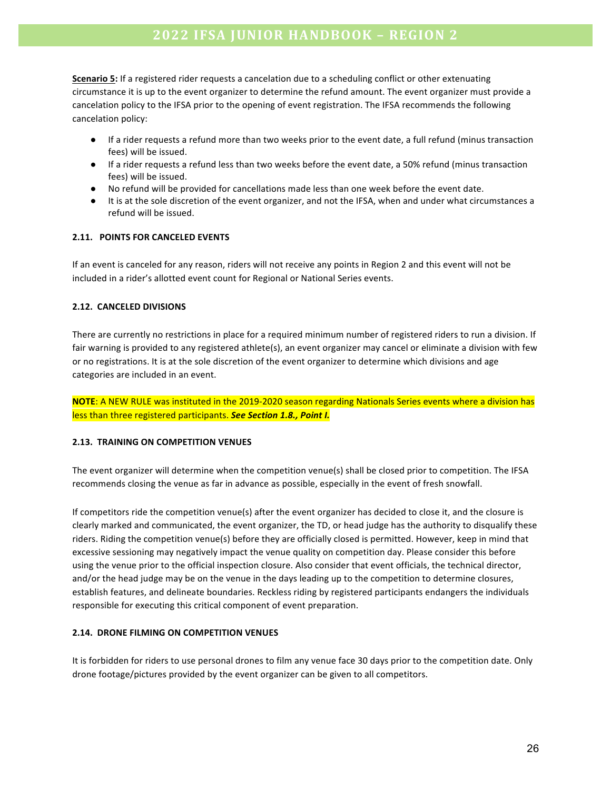**Scenario 5:** If a registered rider requests a cancelation due to a scheduling conflict or other extenuating circumstance it is up to the event organizer to determine the refund amount. The event organizer must provide a cancelation policy to the IFSA prior to the opening of event registration. The IFSA recommends the following cancelation policy:

- If a rider requests a refund more than two weeks prior to the event date, a full refund (minus transaction fees) will be issued.
- If a rider requests a refund less than two weeks before the event date, a 50% refund (minus transaction fees) will be issued.
- No refund will be provided for cancellations made less than one week before the event date.
- It is at the sole discretion of the event organizer, and not the IFSA, when and under what circumstances a refund will be issued.

#### **2.11. POINTS FOR CANCELED EVENTS**

If an event is canceled for any reason, riders will not receive any points in Region 2 and this event will not be included in a rider's allotted event count for Regional or National Series events.

#### **2.12. CANCELED DIVISIONS**

There are currently no restrictions in place for a required minimum number of registered riders to run a division. If fair warning is provided to any registered athlete(s), an event organizer may cancel or eliminate a division with few or no registrations. It is at the sole discretion of the event organizer to determine which divisions and age categories are included in an event.

**NOTE:** A NEW RULE was instituted in the 2019-2020 season regarding Nationals Series events where a division has less than three registered participants. See Section 1.8., Point I.

#### **2.13. TRAINING ON COMPETITION VENUES**

The event organizer will determine when the competition venue(s) shall be closed prior to competition. The IFSA recommends closing the venue as far in advance as possible, especially in the event of fresh snowfall.

If competitors ride the competition venue(s) after the event organizer has decided to close it, and the closure is clearly marked and communicated, the event organizer, the TD, or head judge has the authority to disqualify these riders. Riding the competition venue(s) before they are officially closed is permitted. However, keep in mind that excessive sessioning may negatively impact the venue quality on competition day. Please consider this before using the venue prior to the official inspection closure. Also consider that event officials, the technical director, and/or the head judge may be on the venue in the days leading up to the competition to determine closures, establish features, and delineate boundaries. Reckless riding by registered participants endangers the individuals responsible for executing this critical component of event preparation.

#### **2.14. DRONE FILMING ON COMPETITION VENUES**

It is forbidden for riders to use personal drones to film any venue face 30 days prior to the competition date. Only drone footage/pictures provided by the event organizer can be given to all competitors.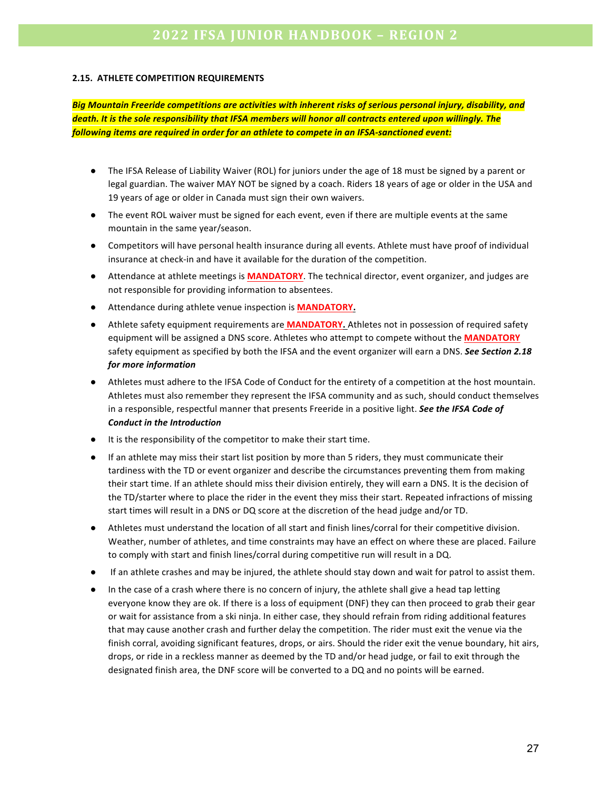#### **2.15. ATHLETE COMPETITION REQUIREMENTS**

**Big Mountain Freeride competitions are activities with inherent risks of serious personal injury, disability, and** *death. It is the sole responsibility that IFSA members will honor all contracts entered upon willingly. The* following items are required in order for an athlete to compete in an IFSA-sanctioned event:

- The IFSA Release of Liability Waiver (ROL) for juniors under the age of 18 must be signed by a parent or legal guardian. The waiver MAY NOT be signed by a coach. Riders 18 years of age or older in the USA and 19 years of age or older in Canada must sign their own waivers.
- The event ROL waiver must be signed for each event, even if there are multiple events at the same mountain in the same year/season.
- Competitors will have personal health insurance during all events. Athlete must have proof of individual insurance at check-in and have it available for the duration of the competition.
- Attendance at athlete meetings is **MANDATORY**. The technical director, event organizer, and judges are not responsible for providing information to absentees.
- **•** Attendance during athlete venue inspection is **MANDATORY.**
- Athlete safety equipment requirements are **MANDATORY.** Athletes not in possession of required safety equipment will be assigned a DNS score. Athletes who attempt to compete without the **MANDATORY** safety equipment as specified by both the IFSA and the event organizer will earn a DNS. See Section 2.18 *for more information*
- Athletes must adhere to the IFSA Code of Conduct for the entirety of a competition at the host mountain. Athletes must also remember they represent the IFSA community and as such, should conduct themselves in a responsible, respectful manner that presents Freeride in a positive light. See the IFSA Code of *Conduct in the Introduction*
- It is the responsibility of the competitor to make their start time.
- If an athlete may miss their start list position by more than 5 riders, they must communicate their tardiness with the TD or event organizer and describe the circumstances preventing them from making their start time. If an athlete should miss their division entirely, they will earn a DNS. It is the decision of the TD/starter where to place the rider in the event they miss their start. Repeated infractions of missing start times will result in a DNS or DQ score at the discretion of the head judge and/or TD.
- Athletes must understand the location of all start and finish lines/corral for their competitive division. Weather, number of athletes, and time constraints may have an effect on where these are placed. Failure to comply with start and finish lines/corral during competitive run will result in a DQ.
- If an athlete crashes and may be injured, the athlete should stay down and wait for patrol to assist them.
- In the case of a crash where there is no concern of injury, the athlete shall give a head tap letting everyone know they are ok. If there is a loss of equipment (DNF) they can then proceed to grab their gear or wait for assistance from a ski ninja. In either case, they should refrain from riding additional features that may cause another crash and further delay the competition. The rider must exit the venue via the finish corral, avoiding significant features, drops, or airs. Should the rider exit the venue boundary, hit airs, drops, or ride in a reckless manner as deemed by the TD and/or head judge, or fail to exit through the designated finish area, the DNF score will be converted to a DQ and no points will be earned.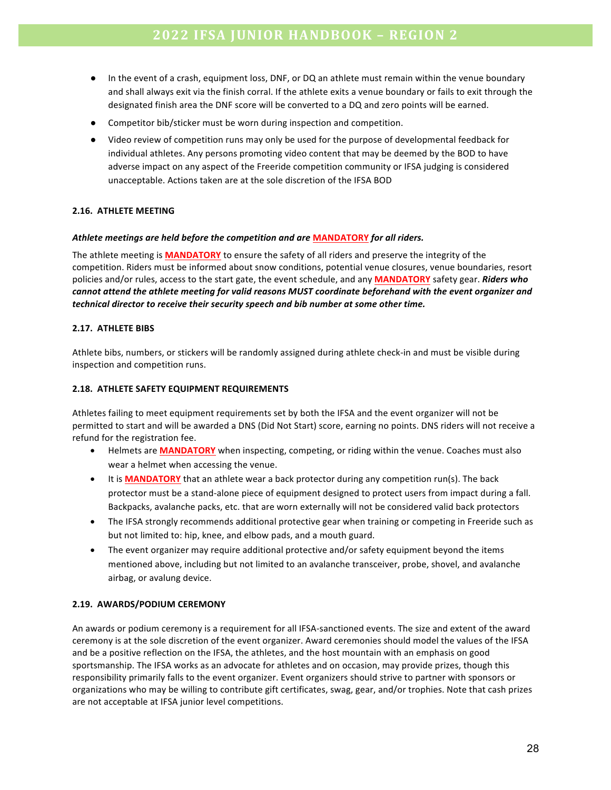- In the event of a crash, equipment loss, DNF, or DQ an athlete must remain within the venue boundary and shall always exit via the finish corral. If the athlete exits a venue boundary or fails to exit through the designated finish area the DNF score will be converted to a DQ and zero points will be earned.
- Competitor bib/sticker must be worn during inspection and competition.
- Video review of competition runs may only be used for the purpose of developmental feedback for individual athletes. Any persons promoting video content that may be deemed by the BOD to have adverse impact on any aspect of the Freeride competition community or IFSA judging is considered unacceptable. Actions taken are at the sole discretion of the IFSA BOD

#### **2.16. ATHLETE MEETING**

#### *Athlete meetings are held before the competition and are* **MANDATORY** *for all riders.*

The athlete meeting is **MANDATORY** to ensure the safety of all riders and preserve the integrity of the competition. Riders must be informed about snow conditions, potential venue closures, venue boundaries, resort policies and/or rules, access to the start gate, the event schedule, and any **MANDATORY** safety gear. *Riders* who *cannot attend the athlete meeting for valid reasons MUST coordinate beforehand with the event organizer and technical director to receive their security speech and bib number at some other time.* 

#### **2.17. ATHLETE BIBS**

Athlete bibs, numbers, or stickers will be randomly assigned during athlete check-in and must be visible during inspection and competition runs.

#### **2.18. ATHLETE SAFETY EQUIPMENT REQUIREMENTS**

Athletes failing to meet equipment requirements set by both the IFSA and the event organizer will not be permitted to start and will be awarded a DNS (Did Not Start) score, earning no points. DNS riders will not receive a refund for the registration fee.

- Helmets are **MANDATORY** when inspecting, competing, or riding within the venue. Coaches must also wear a helmet when accessing the venue.
- It is **MANDATORY** that an athlete wear a back protector during any competition run(s). The back protector must be a stand-alone piece of equipment designed to protect users from impact during a fall. Backpacks, avalanche packs, etc. that are worn externally will not be considered valid back protectors
- The IFSA strongly recommends additional protective gear when training or competing in Freeride such as but not limited to: hip, knee, and elbow pads, and a mouth guard.
- The event organizer may require additional protective and/or safety equipment beyond the items mentioned above, including but not limited to an avalanche transceiver, probe, shovel, and avalanche airbag, or avalung device.

#### **2.19. AWARDS/PODIUM CEREMONY**

An awards or podium ceremony is a requirement for all IFSA-sanctioned events. The size and extent of the award ceremony is at the sole discretion of the event organizer. Award ceremonies should model the values of the IFSA and be a positive reflection on the IFSA, the athletes, and the host mountain with an emphasis on good sportsmanship. The IFSA works as an advocate for athletes and on occasion, may provide prizes, though this responsibility primarily falls to the event organizer. Event organizers should strive to partner with sponsors or organizations who may be willing to contribute gift certificates, swag, gear, and/or trophies. Note that cash prizes are not acceptable at IFSA junior level competitions.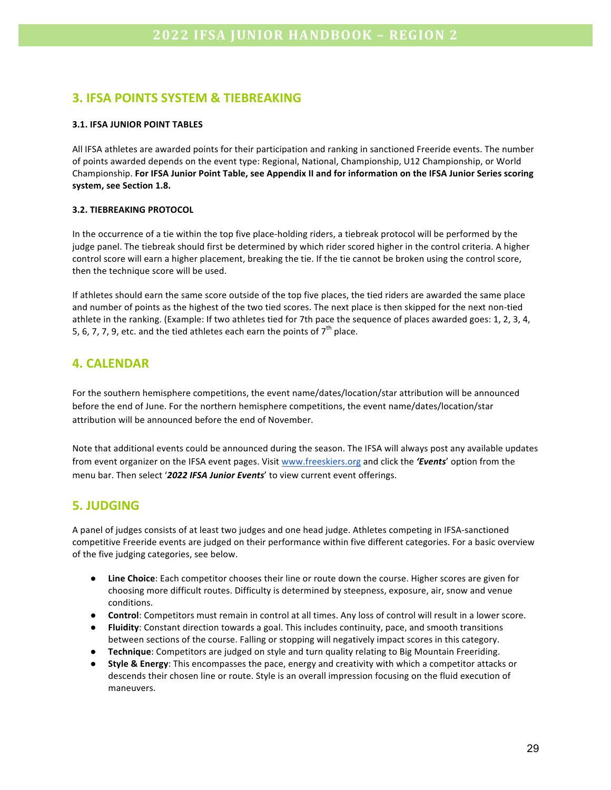## **3. IFSA POINTS SYSTEM & TIEBREAKING**

#### **3.1. IFSA JUNIOR POINT TABLES**

All IFSA athletes are awarded points for their participation and ranking in sanctioned Freeride events. The number of points awarded depends on the event type: Regional, National, Championship, U12 Championship, or World Championship. For IFSA Junior Point Table, see Appendix II and for information on the IFSA Junior Series scoring system, see Section 1.8.

#### **3.2. TIEBREAKING PROTOCOL**

In the occurrence of a tie within the top five place-holding riders, a tiebreak protocol will be performed by the judge panel. The tiebreak should first be determined by which rider scored higher in the control criteria. A higher control score will earn a higher placement, breaking the tie. If the tie cannot be broken using the control score, then the technique score will be used.

If athletes should earn the same score outside of the top five places, the tied riders are awarded the same place and number of points as the highest of the two tied scores. The next place is then skipped for the next non-tied athlete in the ranking. (Example: If two athletes tied for 7th pace the sequence of places awarded goes: 1, 2, 3, 4, 5, 6, 7, 7, 9, etc. and the tied athletes each earn the points of  $7<sup>th</sup>$  place.

## **4. CALENDAR**

For the southern hemisphere competitions, the event name/dates/location/star attribution will be announced before the end of June. For the northern hemisphere competitions, the event name/dates/location/star attribution will be announced before the end of November.

Note that additional events could be announced during the season. The IFSA will always post any available updates from event organizer on the IFSA event pages. Visit www.freeskiers.org and click the 'Events' option from the menu bar. Then select '2022 IFSA Junior Events' to view current event offerings.

### **5. JUDGING**

A panel of judges consists of at least two judges and one head judge. Athletes competing in IFSA-sanctioned competitive Freeride events are judged on their performance within five different categories. For a basic overview of the five judging categories, see below.

- **•** Line Choice: Each competitor chooses their line or route down the course. Higher scores are given for choosing more difficult routes. Difficulty is determined by steepness, exposure, air, snow and venue conditions.
- **Control**: Competitors must remain in control at all times. Any loss of control will result in a lower score.
- **Fluidity**: Constant direction towards a goal. This includes continuity, pace, and smooth transitions between sections of the course. Falling or stopping will negatively impact scores in this category.
- **• Technique**: Competitors are judged on style and turn quality relating to Big Mountain Freeriding.
- **Style & Energy**: This encompasses the pace, energy and creativity with which a competitor attacks or descends their chosen line or route. Style is an overall impression focusing on the fluid execution of maneuvers.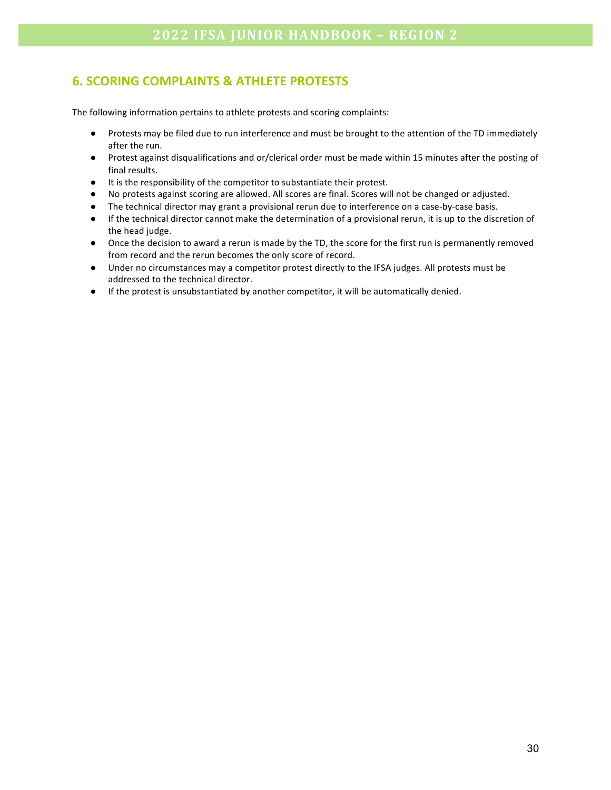## **6. SCORING COMPLAINTS & ATHLETE PROTESTS**

The following information pertains to athlete protests and scoring complaints:

- Protests may be filed due to run interference and must be brought to the attention of the TD immediately after the run.
- Protest against disqualifications and or/clerical order must be made within 15 minutes after the posting of final results.
- It is the responsibility of the competitor to substantiate their protest.
- No protests against scoring are allowed. All scores are final. Scores will not be changed or adjusted.
- The technical director may grant a provisional rerun due to interference on a case-by-case basis.
- If the technical director cannot make the determination of a provisional rerun, it is up to the discretion of the head judge.
- Once the decision to award a rerun is made by the TD, the score for the first run is permanently removed from record and the rerun becomes the only score of record.
- Under no circumstances may a competitor protest directly to the IFSA judges. All protests must be addressed to the technical director.
- If the protest is unsubstantiated by another competitor, it will be automatically denied.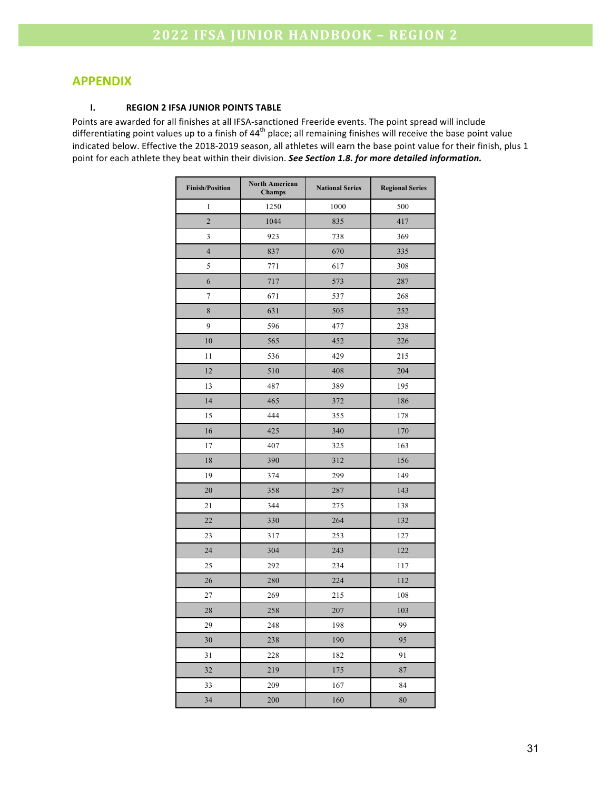## **APPENDIX**

#### **I. REGION 2 IFSA JUNIOR POINTS TABLE**

Points are awarded for all finishes at all IFSA-sanctioned Freeride events. The point spread will include differentiating point values up to a finish of  $44<sup>th</sup>$  place; all remaining finishes will receive the base point value indicated below. Effective the 2018-2019 season, all athletes will earn the base point value for their finish, plus 1 point for each athlete they beat within their division. See Section 1.8. for more detailed information.

| <b>Finish/Position</b> | <b>North American</b><br>Champs | <b>National Series</b> | <b>Regional Series</b> |
|------------------------|---------------------------------|------------------------|------------------------|
| 1                      | 1250                            | 1000                   | 500                    |
| $\overline{2}$         | 1044                            | 835                    | 417                    |
| 3                      | 923                             | 738                    | 369                    |
| $\overline{4}$         | 837                             | 670                    | 335                    |
| 5                      | 771                             | 617                    | 308                    |
| 6                      | 717                             | 573                    | 287                    |
| 7                      | 671                             | 537                    | 268                    |
| 8                      | 631                             | 505                    | 252                    |
| 9                      | 596                             | 477                    | 238                    |
| 10                     | 565                             | 452                    | 226                    |
| 11                     | 536                             | 429                    | 215                    |
| 12                     | 510                             | 408                    | 204                    |
| 13                     | 487                             | 389                    | 195                    |
| 14                     | 465                             | 372                    | 186                    |
| 15                     | 444                             | 355                    | 178                    |
| 16                     | 425                             | 340                    | 170                    |
| 17                     | 407                             | 325                    | 163                    |
| 18<br>390              |                                 | 312                    | 156                    |
| 19<br>374              |                                 | 299                    | 149                    |
| 20<br>358              |                                 | 287                    | 143                    |
| 21<br>344              |                                 | 275                    | 138                    |
| 22                     | 330                             | 264                    | 132                    |
| 23                     | 317                             | 253                    | 127                    |
| 24                     | 304                             | 243                    | 122                    |
| 25                     | 292                             | 234                    | 117                    |
| 26                     | 280                             | 224                    | 112                    |
| 27                     | 269                             | 215                    | 108                    |
| 28                     | 258                             | 207                    | 103                    |
| 29                     | 248                             | 198                    | 99                     |
| 30                     | 238                             | 190                    | 95                     |
| 31                     | 228                             | 182                    | 91                     |
| 32                     | 219                             | 175                    | 87                     |
| 33                     | 209                             | 167                    | 84                     |
| 34                     | 200                             | 160                    | 80                     |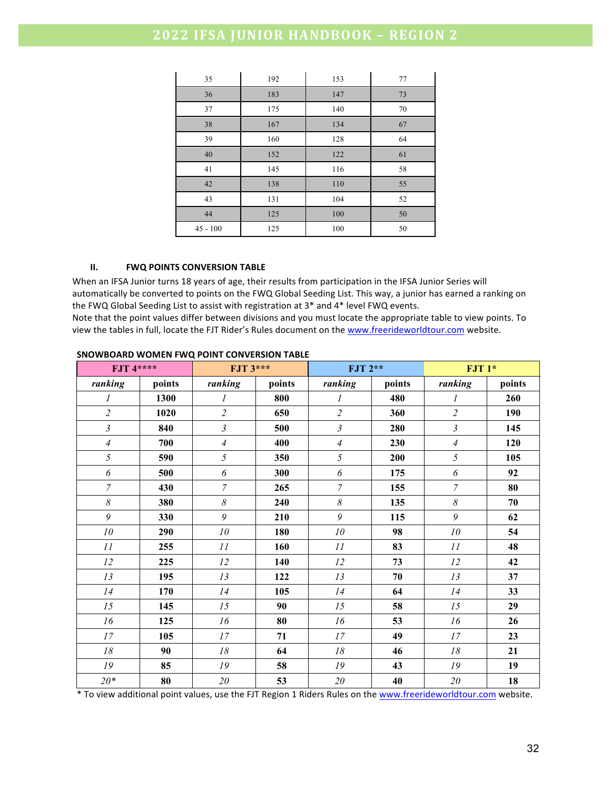| 35         | 192 | 153 | 77 |
|------------|-----|-----|----|
| 36         | 183 | 147 | 73 |
| 37         | 175 | 140 | 70 |
| 38         | 167 | 134 | 67 |
| 39         | 160 | 128 | 64 |
| 40         | 152 | 122 | 61 |
| 41         | 145 | 116 | 58 |
| 42         | 138 | 110 | 55 |
| 43         | 131 | 104 | 52 |
| 44         | 125 | 100 | 50 |
| $45 - 100$ | 125 | 100 | 50 |

#### **II.** FWQ POINTS CONVERSION TABLE

When an IFSA Junior turns 18 years of age, their results from participation in the IFSA Junior Series will automatically be converted to points on the FWQ Global Seeding List. This way, a junior has earned a ranking on the FWQ Global Seeding List to assist with registration at  $3^*$  and  $4^*$  level FWQ events.

Note that the point values differ between divisions and you must locate the appropriate table to view points. To view the tables in full, locate the FJT Rider's Rules document on the www.freerideworldtour.com website.

| <b>FJT</b> 4**** |        | <b>FJT 3***</b>  |        | FJT 2**        |        | $FJT1*$          |        |
|------------------|--------|------------------|--------|----------------|--------|------------------|--------|
| ranking          | points | ranking          | points | ranking        | points | ranking          | points |
| 1                | 1300   | $\boldsymbol{l}$ | 800    | 1              | 480    | $\boldsymbol{l}$ | 260    |
| $\overline{c}$   | 1020   | $\overline{2}$   | 650    | $\overline{c}$ | 360    | $\overline{c}$   | 190    |
| $\mathfrak{z}$   | 840    | $\mathfrak{Z}$   | 500    | $\mathfrak{z}$ | 280    | $\mathfrak{Z}$   | 145    |
| $\overline{A}$   | 700    | $\overline{4}$   | 400    | $\overline{A}$ | 230    | $\overline{4}$   | 120    |
| 5                | 590    | 5                | 350    | 5              | 200    | 5                | 105    |
| 6                | 500    | 6                | 300    | 6              | 175    | 6                | 92     |
| $\overline{7}$   | 430    | $\overline{7}$   | 265    | $\overline{7}$ | 155    | $\overline{7}$   | 80     |
| $\delta$         | 380    | $\delta$         | 240    | $\delta$       | 135    | $\delta$         | 70     |
| $\mathfrak g$    | 330    | 9                | 210    | 9              | 115    | 9                | 62     |
| ${\it 10}$       | 290    | $10\,$           | 180    | $10\,$         | 98     | 10               | 54     |
| II               | 255    | II               | 160    | II             | 83     | II               | 48     |
| 12               | 225    | 12               | 140    | 12             | 73     | 12               | 42     |
| 13               | 195    | 13               | 122    | 13             | 70     | 13               | 37     |
| 14               | 170    | 14               | 105    | 14             | 64     | 14               | 33     |
| 15               | 145    | 15               | 90     | 15             | 58     | 15               | 29     |
| 16               | 125    | 16               | 80     | 16             | 53     | 16               | 26     |
| 17               | 105    | 17               | 71     | 17             | 49     | 17               | 23     |
| $18\,$           | 90     | 18               | 64     | 18             | 46     | 18               | 21     |
| ${\it I9}$       | 85     | 19               | 58     | 19             | 43     | 19               | 19     |
| $20*$            | 80     | $20\,$           | 53     | $2\mathit{0}$  | 40     | $2\theta$        | 18     |

#### **SNOWBOARD WOMEN FWQ POINT CONVERSION TABLE**

\* To view additional point values, use the FJT Region 1 Riders Rules on the www.freerideworldtour.com website.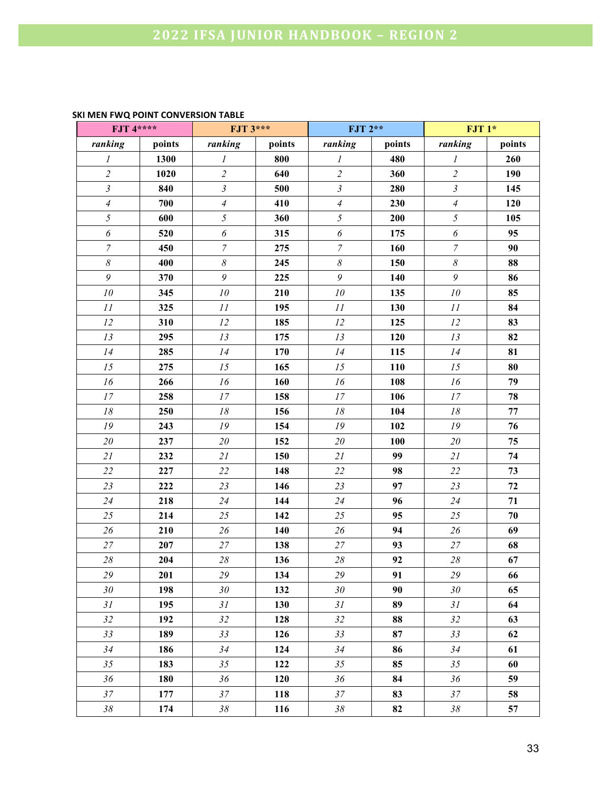#### **SKI MEN FWQ POINT CONVERSION TABLE**

| <b>FJT 4****</b> |        | <b>FJT 3***</b>            |        | <b>FJT 2**</b>             |        | $FJT1*$               |            |
|------------------|--------|----------------------------|--------|----------------------------|--------|-----------------------|------------|
| ranking          | points | ranking                    | points | ranking                    | points | ranking               | points     |
| 1                | 1300   | $\boldsymbol{l}$           | 800    | $\boldsymbol{l}$           | 480    | $\mathfrak{I}$        | 260        |
| $\overline{c}$   | 1020   | $\overline{c}$             | 640    | $\overline{c}$             | 360    | $\overline{c}$        | 190        |
| $\overline{3}$   | 840    | $\mathfrak{Z}$             | 500    | $\mathfrak{Z}$             | 280    | $\mathfrak{Z}$        | 145        |
| $\overline{4}$   | 700    | $\overline{A}$             | 410    | $\overline{4}$             | 230    | $\overline{4}$        | 120        |
| 5                | 600    | 5                          | 360    | 5                          | 200    | $\mathfrak{S}$        | 105        |
| 6                | 520    | $\boldsymbol{\delta}$      | 315    | 6                          | 175    | $\boldsymbol{\delta}$ | 95         |
| $\boldsymbol{7}$ | 450    | $\overline{7}$             | 275    | $\boldsymbol{7}$           | 160    | $\boldsymbol{7}$      | 90         |
| $\delta$         | 400    | $\boldsymbol{\mathcal{S}}$ | 245    | $\boldsymbol{\mathcal{S}}$ | 150    | $\delta$              | 88         |
| 9                | 370    | $\mathfrak g$              | 225    | $\mathfrak g$              | 140    | 9                     | 86         |
| ${\it 10}$       | 345    | ${\it 10}$                 | 210    | ${\it 10}$                 | 135    | 10                    | 85         |
| II               | 325    | II                         | 195    | 11                         | 130    | II                    | 84         |
| 12               | 310    | $12\,$                     | 185    | 12                         | 125    | 12                    | 83         |
| 13               | 295    | 13                         | 175    | 13                         | 120    | 13                    | 82         |
| 14               | 285    | 14                         | 170    | 14                         | 115    | 14                    | 81         |
| 15               | 275    | 15                         | 165    | 15                         | 110    | 15                    | 80         |
| 16               | 266    | 16                         | 160    | 16                         | 108    | 16                    | 79         |
| $17\,$           | 258    | $\ensuremath{\mathit{17}}$ | 158    | 17                         | 106    | $17\,$                | 78         |
| $18\,$           | 250    | $18\,$                     | 156    | $18$                       | 104    | ${\it 18}$            | 77         |
| 19               | 243    | ${\cal I}9$                | 154    | 19                         | 102    | 19                    | 76         |
| $2\theta$        | 237    | $2\theta$                  | 152    | 20                         | 100    | 20                    | 75         |
| 21               | 232    | 21                         | 150    | 21                         | 99     | 21                    | 74         |
| 22               | 227    | 22                         | 148    | 22                         | 98     | 22                    | 73         |
| 23               | 222    | 23                         | 146    | 23                         | 97     | 23                    | ${\bf 72}$ |
| 24               | 218    | 24                         | 144    | 24                         | 96     | 24                    | 71         |
| 25               | 214    | 25                         | 142    | 25                         | 95     | 25                    | 70         |
| $26\,$           | 210    | 26                         | 140    | 26                         | 94     | 26                    | 69         |
| 27               | 207    | $27\,$                     | 138    | 27                         | 93     | 27                    | 68         |
| $28\,$           | 204    | $28\,$                     | 136    | $28\,$                     | 92     | $28\,$                | 67         |
| 29               | 201    | 29                         | 134    | 29                         | 91     | 29                    | 66         |
| $30\,$           | 198    | 30 <sup>°</sup>            | 132    | 30 <sub>2</sub>            | 90     | 30                    | 65         |
| 31               | 195    | 31                         | 130    | 31                         | 89     | 31                    | 64         |
| 32               | 192    | 32                         | 128    | 32                         | 88     | 32                    | 63         |
| 33               | 189    | 33                         | 126    | 33                         | 87     | 33                    | 62         |
| 34               | 186    | 34                         | 124    | 34                         | 86     | 34                    | 61         |
| 35               | 183    | 35                         | 122    | 35                         | 85     | 35                    | 60         |
| 36               | 180    | 36                         | 120    | 36                         | 84     | 36                    | 59         |
| 37               | 177    | 37                         | 118    | 37                         | 83     | 37                    | 58         |
| $38\,$           | 174    | $38\,$                     | 116    | $38\,$                     | 82     | 38                    | 57         |